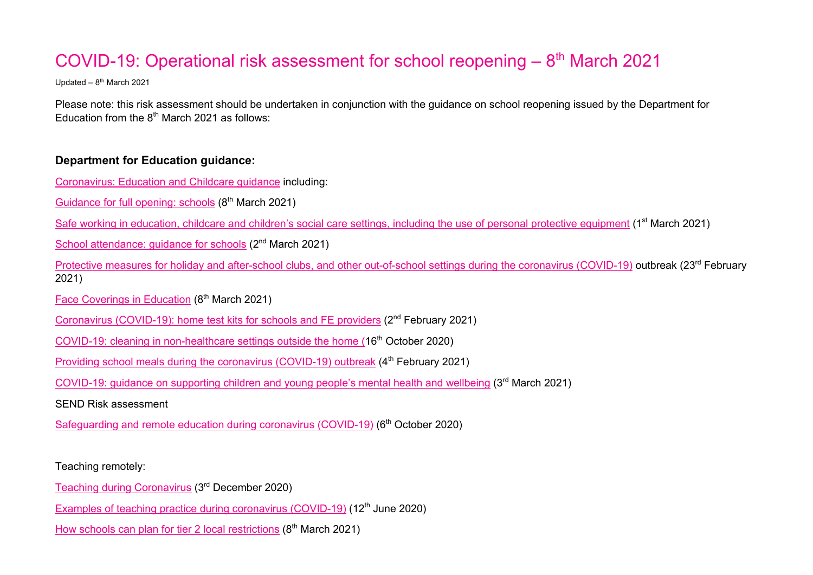# COVID-19: Operational risk assessment for school reopening  $-8<sup>th</sup>$  March 2021

Updated –  $8<sup>th</sup>$  March 2021

Please note: this risk assessment should be undertaken in conjunction with the guidance on school reopening issued by the Department for Education from the  $8<sup>th</sup>$  March 2021 as follows:

# **Department for Education guidance:**

Coronavirus: Education and Childcare guidance including:

Guidance for full opening: schools (8<sup>th</sup> March 2021)

Safe working in education, childcare and children's social care settings, including the use of personal protective equipment (1<sup>st</sup> March 2021)

School attendance: quidance for schools (2<sup>nd</sup> March 2021)

Protective measures for holiday and after-school clubs, and other out-of-school settings during the coronavirus (COVID-19) outbreak (23<sup>rd</sup> February 2021)

Face Coverings in Education (8<sup>th</sup> March 2021)

Coronavirus (COVID-19): home test kits for schools and FE providers (2nd February 2021)

COVID-19: cleaning in non-healthcare settings outside the home (16<sup>th</sup> October 2020)

Providing school meals during the coronavirus (COVID-19) outbreak (4<sup>th</sup> February 2021)

COVID-19: guidance on supporting children and young people's mental health and wellbeing (3rd March 2021)

SEND Risk assessment

Safeguarding and remote education during coronavirus (COVID-19) (6<sup>th</sup> October 2020)

Teaching remotely:

Teaching during Coronavirus (3rd December 2020)

Examples of teaching practice during coronavirus (COVID-19) (12<sup>th</sup> June 2020)

How schools can plan for tier 2 local restrictions  $(8<sup>th</sup> March 2021)$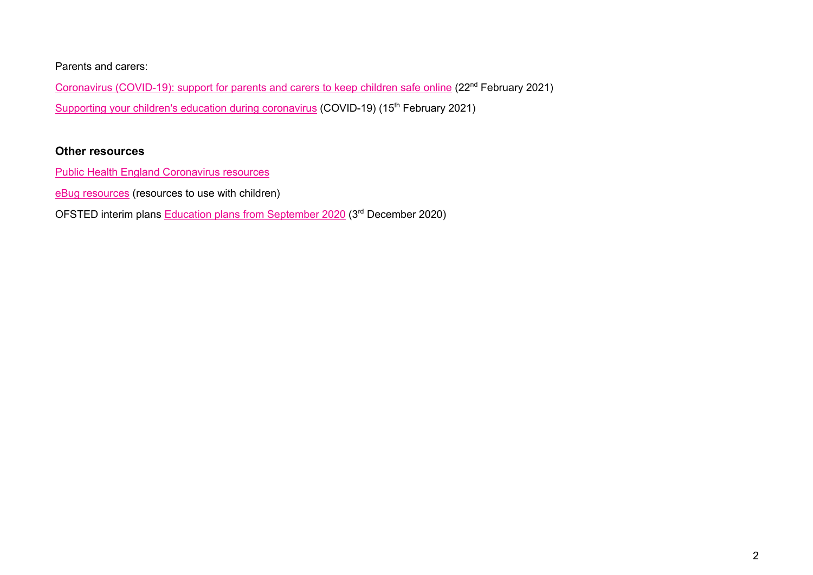Parents and carers:

Coronavirus (COVID-19): support for parents and carers to keep children safe online (22<sup>nd</sup> February 2021) Supporting your children's education during coronavirus (COVID-19) (15<sup>th</sup> February 2021)

#### **Other resources**

Public Health England Coronavirus resources

eBug resources (resources to use with children)

OFSTED interim plans Education plans from September 2020 (3rd December 2020)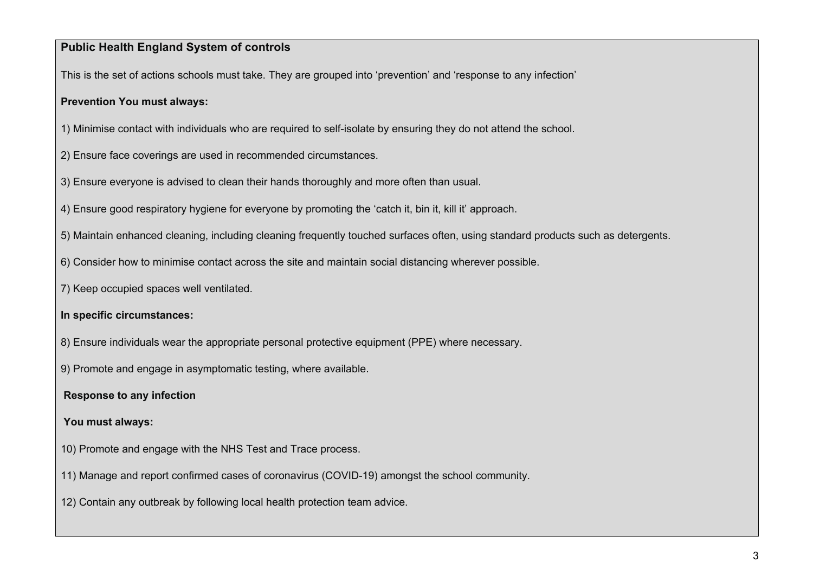# **Public Health England System of controls**

This is the set of actions schools must take. They are grouped into 'prevention' and 'response to any infection'

## **Prevention You must always:**

- 1) Minimise contact with individuals who are required to self-isolate by ensuring they do not attend the school.
- 2) Ensure face coverings are used in recommended circumstances.
- 3) Ensure everyone is advised to clean their hands thoroughly and more often than usual.
- 4) Ensure good respiratory hygiene for everyone by promoting the 'catch it, bin it, kill it' approach.
- 5) Maintain enhanced cleaning, including cleaning frequently touched surfaces often, using standard products such as detergents.
- 6) Consider how to minimise contact across the site and maintain social distancing wherever possible.
- 7) Keep occupied spaces well ventilated.
- **In specific circumstances:**
- 8) Ensure individuals wear the appropriate personal protective equipment (PPE) where necessary.
- 9) Promote and engage in asymptomatic testing, where available.

**Response to any infection**

**You must always:** 

- 10) Promote and engage with the NHS Test and Trace process.
- 11) Manage and report confirmed cases of coronavirus (COVID-19) amongst the school community.
- 12) Contain any outbreak by following local health protection team advice.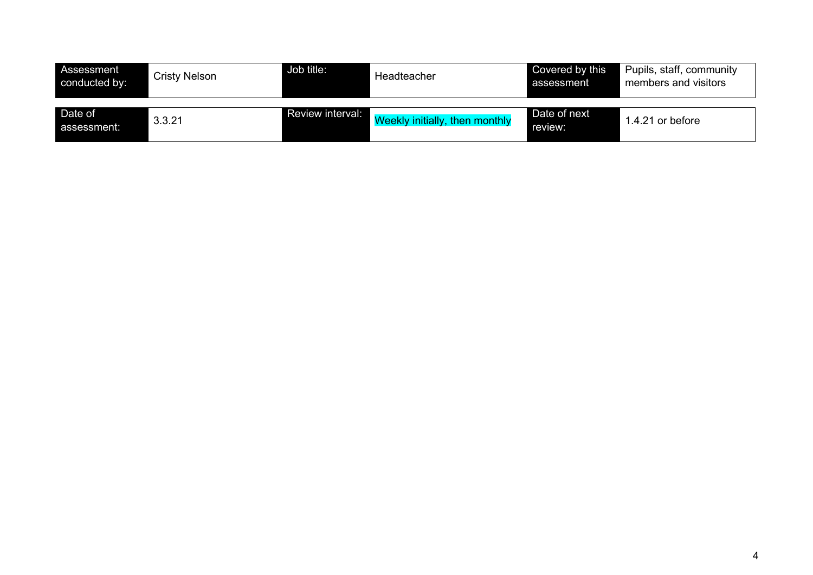| Assessment<br>conducted by: | Cristy Nelson | Job title:              | Headteacher                           | Covered by this<br>assessment | Pupils, staff, community<br>members and visitors |
|-----------------------------|---------------|-------------------------|---------------------------------------|-------------------------------|--------------------------------------------------|
| Date of<br>assessment:      | 3.3.21        | <b>Review interval:</b> | <b>Weekly initially, then monthly</b> | Date of next<br>review:       | 1.4.21 or before                                 |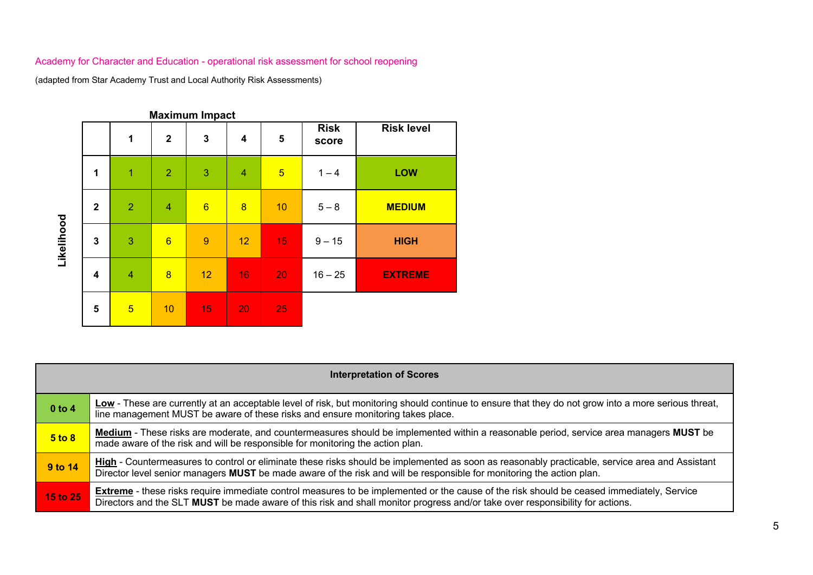|            |                         |                |                 | <b>Maximum Impact</b> |                  |                 |                      |                   |
|------------|-------------------------|----------------|-----------------|-----------------------|------------------|-----------------|----------------------|-------------------|
|            |                         | $\mathbf{1}$   | $\overline{2}$  | $\mathbf{3}$          | $\boldsymbol{4}$ | 5               | <b>Risk</b><br>score | <b>Risk level</b> |
| Likelihood | 1                       | $\overline{1}$ | $\overline{2}$  | 3                     | $\overline{4}$   | $5\overline{)}$ | $1 - 4$              | <b>LOW</b>        |
|            | $\overline{2}$          | $\overline{2}$ | $\overline{4}$  | $6\phantom{1}$        | $\overline{8}$   | 10              | $5 - 8$              | <b>MEDIUM</b>     |
|            | $\mathbf{3}$            | 3              | $6\phantom{1}6$ | 9                     | 12               | 15              | $9 - 15$             | <b>HIGH</b>       |
|            | $\overline{\mathbf{4}}$ | $\overline{4}$ | $\overline{8}$  | 12                    | 16               | 20              | $16 - 25$            | <b>EXTREME</b>    |
|            | 5                       | $\overline{5}$ | 10              | 15                    | 20               | 25              |                      |                   |

|            | <b>Interpretation of Scores</b>                                                                                                                                                                                                                                                   |  |  |  |  |  |  |
|------------|-----------------------------------------------------------------------------------------------------------------------------------------------------------------------------------------------------------------------------------------------------------------------------------|--|--|--|--|--|--|
| $0$ to 4   | Low - These are currently at an acceptable level of risk, but monitoring should continue to ensure that they do not grow into a more serious threat,<br>line management MUST be aware of these risks and ensure monitoring takes place.                                           |  |  |  |  |  |  |
| $5$ to $8$ | Medium - These risks are moderate, and countermeasures should be implemented within a reasonable period, service area managers MUST be<br>made aware of the risk and will be responsible for monitoring the action plan.                                                          |  |  |  |  |  |  |
| 9 to 14    | High - Countermeasures to control or eliminate these risks should be implemented as soon as reasonably practicable, service area and Assistant<br>Director level senior managers MUST be made aware of the risk and will be responsible for monitoring the action plan.           |  |  |  |  |  |  |
| 15 to 25   | <b>Extreme</b> - these risks require immediate control measures to be implemented or the cause of the risk should be ceased immediately, Service<br>Directors and the SLT MUST be made aware of this risk and shall monitor progress and/or take over responsibility for actions. |  |  |  |  |  |  |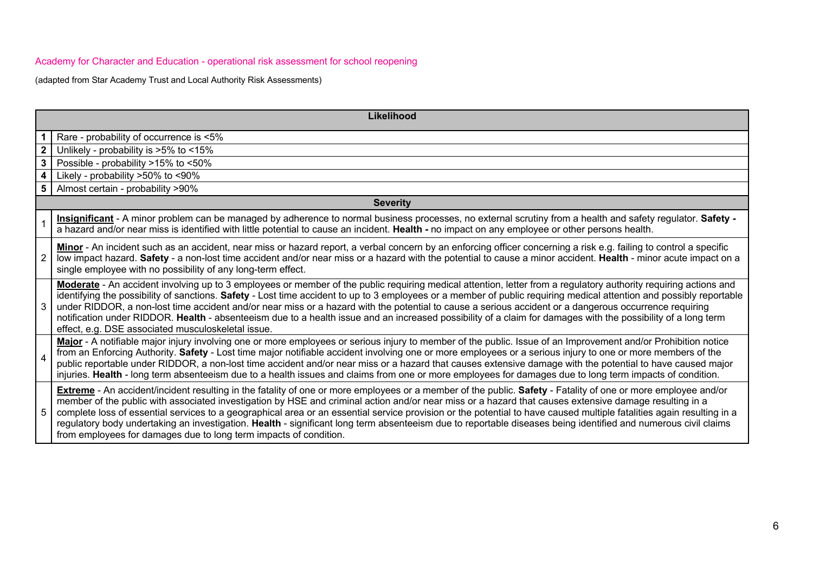|                | Likelihood                                                                                                                                                                                                                                                                                                                                                                                                                                                                                                                                                                                                                                                                                                                                     |  |  |  |  |  |  |  |
|----------------|------------------------------------------------------------------------------------------------------------------------------------------------------------------------------------------------------------------------------------------------------------------------------------------------------------------------------------------------------------------------------------------------------------------------------------------------------------------------------------------------------------------------------------------------------------------------------------------------------------------------------------------------------------------------------------------------------------------------------------------------|--|--|--|--|--|--|--|
|                | Rare - probability of occurrence is <5%                                                                                                                                                                                                                                                                                                                                                                                                                                                                                                                                                                                                                                                                                                        |  |  |  |  |  |  |  |
| 2 <sup>1</sup> | Unlikely - probability is >5% to <15%                                                                                                                                                                                                                                                                                                                                                                                                                                                                                                                                                                                                                                                                                                          |  |  |  |  |  |  |  |
| 3 <sup>1</sup> | Possible - probability >15% to <50%                                                                                                                                                                                                                                                                                                                                                                                                                                                                                                                                                                                                                                                                                                            |  |  |  |  |  |  |  |
|                | Likely - probability >50% to <90%                                                                                                                                                                                                                                                                                                                                                                                                                                                                                                                                                                                                                                                                                                              |  |  |  |  |  |  |  |
| 5              | Almost certain - probability >90%                                                                                                                                                                                                                                                                                                                                                                                                                                                                                                                                                                                                                                                                                                              |  |  |  |  |  |  |  |
|                | <b>Severity</b>                                                                                                                                                                                                                                                                                                                                                                                                                                                                                                                                                                                                                                                                                                                                |  |  |  |  |  |  |  |
|                | Insignificant - A minor problem can be managed by adherence to normal business processes, no external scrutiny from a health and safety regulator. Safety -<br>a hazard and/or near miss is identified with little potential to cause an incident. Health - no impact on any employee or other persons health.                                                                                                                                                                                                                                                                                                                                                                                                                                 |  |  |  |  |  |  |  |
| $2^{\circ}$    | Minor - An incident such as an accident, near miss or hazard report, a verbal concern by an enforcing officer concerning a risk e.g. failing to control a specific<br>low impact hazard. Safety - a non-lost time accident and/or near miss or a hazard with the potential to cause a minor accident. Health - minor acute impact on a<br>single employee with no possibility of any long-term effect.                                                                                                                                                                                                                                                                                                                                         |  |  |  |  |  |  |  |
| 3              | Moderate - An accident involving up to 3 employees or member of the public requiring medical attention, letter from a regulatory authority requiring actions and<br>identifying the possibility of sanctions. Safety - Lost time accident to up to 3 employees or a member of public requiring medical attention and possibly reportable<br>under RIDDOR, a non-lost time accident and/or near miss or a hazard with the potential to cause a serious accident or a dangerous occurrence requiring<br>notification under RIDDOR. Health - absenteeism due to a health issue and an increased possibility of a claim for damages with the possibility of a long term<br>effect, e.g. DSE associated musculoskeletal issue.                      |  |  |  |  |  |  |  |
| 4              | Major - A notifiable major injury involving one or more employees or serious injury to member of the public. Issue of an Improvement and/or Prohibition notice<br>from an Enforcing Authority. Safety - Lost time major notifiable accident involving one or more employees or a serious injury to one or more members of the<br>public reportable under RIDDOR, a non-lost time accident and/or near miss or a hazard that causes extensive damage with the potential to have caused major<br>injuries. Health - long term absenteeism due to a health issues and claims from one or more employees for damages due to long term impacts of condition.                                                                                        |  |  |  |  |  |  |  |
| 5              | <b>Extreme</b> - An accident/incident resulting in the fatality of one or more employees or a member of the public. Safety - Fatality of one or more employee and/or<br>member of the public with associated investigation by HSE and criminal action and/or near miss or a hazard that causes extensive damage resulting in a<br>complete loss of essential services to a geographical area or an essential service provision or the potential to have caused multiple fatalities again resulting in a<br>regulatory body undertaking an investigation. Health - significant long term absenteeism due to reportable diseases being identified and numerous civil claims<br>from employees for damages due to long term impacts of condition. |  |  |  |  |  |  |  |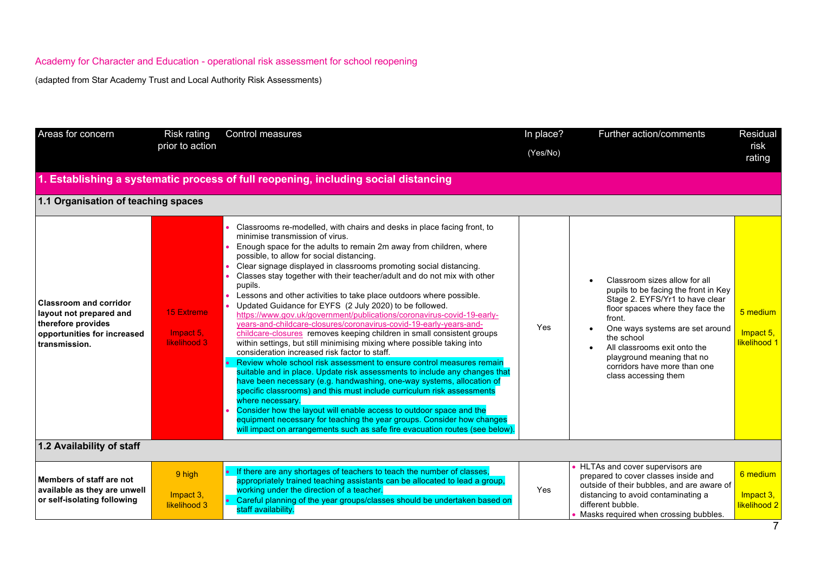| Areas for concern                                                                                                              | <b>Risk rating</b><br>prior to action          | <b>Control measures</b>                                                                                                                                                                                                                                                                                                                                                                                                                                                                                                                                                                                                                                                                                                                                                                                                                                                                                                                                                                                                                                                                                                                                                                                                                                                                                                                                                                                                                           | In place?<br>(Yes/No) | Further action/comments                                                                                                                                                                                                                                                                                                       | Residual<br>risk<br>rating            |
|--------------------------------------------------------------------------------------------------------------------------------|------------------------------------------------|---------------------------------------------------------------------------------------------------------------------------------------------------------------------------------------------------------------------------------------------------------------------------------------------------------------------------------------------------------------------------------------------------------------------------------------------------------------------------------------------------------------------------------------------------------------------------------------------------------------------------------------------------------------------------------------------------------------------------------------------------------------------------------------------------------------------------------------------------------------------------------------------------------------------------------------------------------------------------------------------------------------------------------------------------------------------------------------------------------------------------------------------------------------------------------------------------------------------------------------------------------------------------------------------------------------------------------------------------------------------------------------------------------------------------------------------------|-----------------------|-------------------------------------------------------------------------------------------------------------------------------------------------------------------------------------------------------------------------------------------------------------------------------------------------------------------------------|---------------------------------------|
|                                                                                                                                |                                                | . Establishing a systematic process of full reopening, including social distancing                                                                                                                                                                                                                                                                                                                                                                                                                                                                                                                                                                                                                                                                                                                                                                                                                                                                                                                                                                                                                                                                                                                                                                                                                                                                                                                                                                |                       |                                                                                                                                                                                                                                                                                                                               |                                       |
| 1.1 Organisation of teaching spaces                                                                                            |                                                |                                                                                                                                                                                                                                                                                                                                                                                                                                                                                                                                                                                                                                                                                                                                                                                                                                                                                                                                                                                                                                                                                                                                                                                                                                                                                                                                                                                                                                                   |                       |                                                                                                                                                                                                                                                                                                                               |                                       |
| <b>Classroom and corridor</b><br>layout not prepared and<br>therefore provides<br>opportunities for increased<br>transmission. | <b>15 Extreme</b><br>Impact 5.<br>likelihood 3 | Classrooms re-modelled, with chairs and desks in place facing front, to<br>minimise transmission of virus.<br>Enough space for the adults to remain 2m away from children, where<br>possible, to allow for social distancing.<br>Clear signage displayed in classrooms promoting social distancing.<br>Classes stay together with their teacher/adult and do not mix with other<br>pupils.<br>Lessons and other activities to take place outdoors where possible.<br>Updated Guidance for EYFS (2 July 2020) to be followed.<br>https://www.gov.uk/government/publications/coronavirus-covid-19-early-<br>years-and-childcare-closures/coronavirus-covid-19-early-years-and-<br>childcare-closures removes keeping children in small consistent groups<br>within settings, but still minimising mixing where possible taking into<br>consideration increased risk factor to staff.<br>Review whole school risk assessment to ensure control measures remain<br>suitable and in place. Update risk assessments to include any changes that<br>have been necessary (e.g. handwashing, one-way systems, allocation of<br>specific classrooms) and this must include curriculum risk assessments<br>where necessary.<br>Consider how the layout will enable access to outdoor space and the<br>equipment necessary for teaching the year groups. Consider how changes<br>will impact on arrangements such as safe fire evacuation routes (see below). | Yes                   | Classroom sizes allow for all<br>pupils to be facing the front in Key<br>Stage 2. EYFS/Yr1 to have clear<br>floor spaces where they face the<br>front.<br>One ways systems are set around<br>the school<br>All classrooms exit onto the<br>playground meaning that no<br>corridors have more than one<br>class accessing them | 5 medium<br>Impact 5,<br>likelihood 1 |
| 1.2 Availability of staff                                                                                                      |                                                |                                                                                                                                                                                                                                                                                                                                                                                                                                                                                                                                                                                                                                                                                                                                                                                                                                                                                                                                                                                                                                                                                                                                                                                                                                                                                                                                                                                                                                                   |                       |                                                                                                                                                                                                                                                                                                                               |                                       |
| Members of staff are not<br>available as they are unwell<br>or self-isolating following                                        | 9 high<br>Impact 3,<br>likelihood 3            | • If there are any shortages of teachers to teach the number of classes,<br>appropriately trained teaching assistants can be allocated to lead a group,<br>working under the direction of a teacher.<br>Careful planning of the year groups/classes should be undertaken based on<br>staff availability.                                                                                                                                                                                                                                                                                                                                                                                                                                                                                                                                                                                                                                                                                                                                                                                                                                                                                                                                                                                                                                                                                                                                          | Yes                   | HLTAs and cover supervisors are<br>prepared to cover classes inside and<br>outside of their bubbles, and are aware of<br>distancing to avoid contaminating a<br>different bubble.<br>Masks required when crossing bubbles.                                                                                                    | 6 medium<br>Impact 3,<br>likelihood 2 |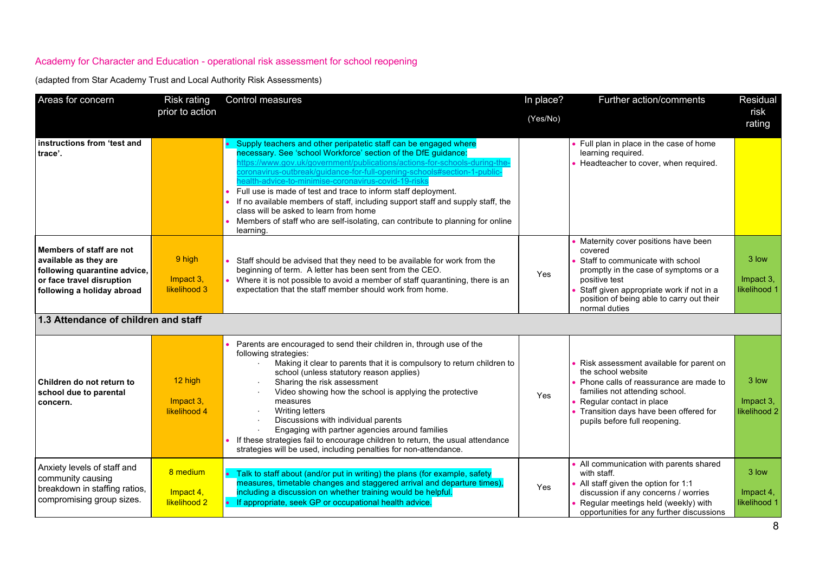| Areas for concern                                                                                                                            | <b>Risk rating</b>                    | Control measures                                                                                                                                                                                                                                                                                                                                                                                                                                                                                                                                                                                                                                 | In place? | Further action/comments                                                                                                                                                                                                                                | Residual                           |
|----------------------------------------------------------------------------------------------------------------------------------------------|---------------------------------------|--------------------------------------------------------------------------------------------------------------------------------------------------------------------------------------------------------------------------------------------------------------------------------------------------------------------------------------------------------------------------------------------------------------------------------------------------------------------------------------------------------------------------------------------------------------------------------------------------------------------------------------------------|-----------|--------------------------------------------------------------------------------------------------------------------------------------------------------------------------------------------------------------------------------------------------------|------------------------------------|
|                                                                                                                                              | prior to action                       |                                                                                                                                                                                                                                                                                                                                                                                                                                                                                                                                                                                                                                                  | (Yes/No)  |                                                                                                                                                                                                                                                        | risk<br>rating                     |
| instructions from 'test and<br>trace'.                                                                                                       |                                       | • Supply teachers and other peripatetic staff can be engaged where<br>necessary. See 'school Workforce' section of the DfE guidance:<br>ittps://www.gov.uk/government/publications/actions-for-schools-during-the<br>oronavirus-outbreak/guidance-for-full-opening-schools#section-1-public<br>ealth-advice-to-minimise-coronavirus-covid-19-risks<br>Full use is made of test and trace to inform staff deployment.<br>If no available members of staff, including support staff and supply staff, the<br>class will be asked to learn from home<br>Members of staff who are self-isolating, can contribute to planning for online<br>learning. |           | Full plan in place in the case of home<br>learning required.<br>• Headteacher to cover, when required.                                                                                                                                                 |                                    |
| Members of staff are not<br>available as they are<br>following quarantine advice,<br>or face travel disruption<br>following a holiday abroad | 9 high<br>Impact 3,<br>likelihood 3   | Staff should be advised that they need to be available for work from the<br>beginning of term. A letter has been sent from the CEO.<br>Where it is not possible to avoid a member of staff quarantining, there is an<br>expectation that the staff member should work from home.                                                                                                                                                                                                                                                                                                                                                                 | Yes       | Maternity cover positions have been<br>covered<br>Staff to communicate with school<br>promptly in the case of symptoms or a<br>positive test<br>Staff given appropriate work if not in a<br>position of being able to carry out their<br>normal duties | 3 low<br>Impact 3,<br>likelihood 1 |
| 1.3 Attendance of children and staff                                                                                                         |                                       |                                                                                                                                                                                                                                                                                                                                                                                                                                                                                                                                                                                                                                                  |           |                                                                                                                                                                                                                                                        |                                    |
| Children do not return to<br>school due to parental<br>concern.                                                                              | 12 high<br>Impact 3,<br>likelihood 4  | Parents are encouraged to send their children in, through use of the<br>following strategies:<br>Making it clear to parents that it is compulsory to return children to<br>school (unless statutory reason applies)<br>Sharing the risk assessment<br>Video showing how the school is applying the protective<br>measures<br><b>Writing letters</b><br>Discussions with individual parents<br>Engaging with partner agencies around families<br>• If these strategies fail to encourage children to return, the usual attendance<br>strategies will be used, including penalties for non-attendance.                                             | Yes       | Risk assessment available for parent on<br>the school website<br>• Phone calls of reassurance are made to<br>families not attending school.<br>Regular contact in place<br>Transition days have been offered for<br>pupils before full reopening.      | 3 low<br>Impact 3,<br>likelihood 2 |
| Anxiety levels of staff and<br>community causing<br>breakdown in staffing ratios,<br>compromising group sizes.                               | 8 medium<br>Impact 4,<br>likelihood 2 | • Talk to staff about (and/or put in writing) the plans (for example, safety<br>measures, timetable changes and staggered arrival and departure times),<br>including a discussion on whether training would be helpful.<br>• If appropriate, seek GP or occupational health advice.                                                                                                                                                                                                                                                                                                                                                              | Yes       | All communication with parents shared<br>with staff.<br>All staff given the option for 1:1<br>discussion if any concerns / worries<br>Regular meetings held (weekly) with<br>opportunities for any further discussions                                 | 3 low<br>Impact 4,<br>likelihood 1 |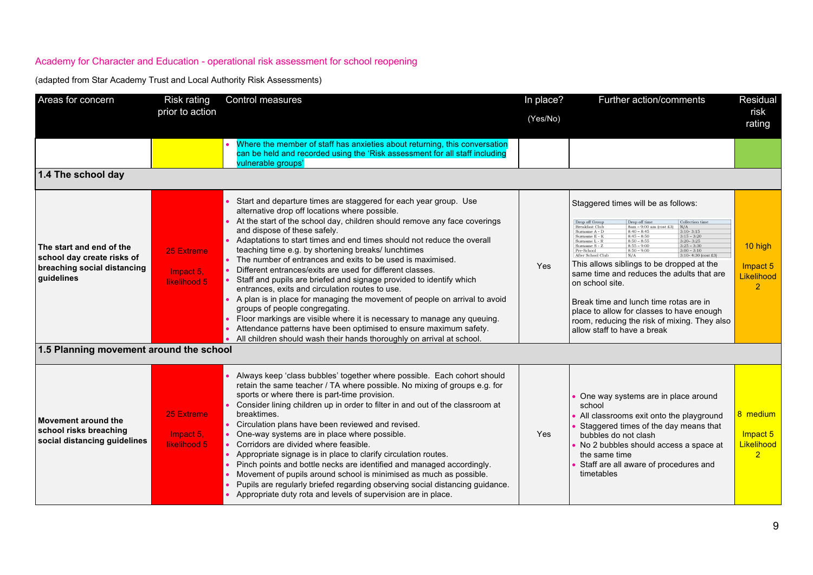| Areas for concern                                                                                                                              | <b>Risk rating</b>                      | Control measures                                                                                                                                                                                                                                                                                                                                                                                                                                                                                                                                                                                                                                                                                                                                                                                                                                                                                                                                                 | In place? | Further action/comments                                                                                                                                                                                                                                                                                                                                                                                                                                                                                                                                                                                                                                                                                                               | Residual                                             |
|------------------------------------------------------------------------------------------------------------------------------------------------|-----------------------------------------|------------------------------------------------------------------------------------------------------------------------------------------------------------------------------------------------------------------------------------------------------------------------------------------------------------------------------------------------------------------------------------------------------------------------------------------------------------------------------------------------------------------------------------------------------------------------------------------------------------------------------------------------------------------------------------------------------------------------------------------------------------------------------------------------------------------------------------------------------------------------------------------------------------------------------------------------------------------|-----------|---------------------------------------------------------------------------------------------------------------------------------------------------------------------------------------------------------------------------------------------------------------------------------------------------------------------------------------------------------------------------------------------------------------------------------------------------------------------------------------------------------------------------------------------------------------------------------------------------------------------------------------------------------------------------------------------------------------------------------------|------------------------------------------------------|
|                                                                                                                                                | prior to action                         |                                                                                                                                                                                                                                                                                                                                                                                                                                                                                                                                                                                                                                                                                                                                                                                                                                                                                                                                                                  | (Yes/No)  |                                                                                                                                                                                                                                                                                                                                                                                                                                                                                                                                                                                                                                                                                                                                       | risk<br>rating                                       |
|                                                                                                                                                |                                         | Where the member of staff has anxieties about returning, this conversation<br>can be held and recorded using the 'Risk assessment for all staff including<br>vulnerable groups'                                                                                                                                                                                                                                                                                                                                                                                                                                                                                                                                                                                                                                                                                                                                                                                  |           |                                                                                                                                                                                                                                                                                                                                                                                                                                                                                                                                                                                                                                                                                                                                       |                                                      |
| 1.4 The school day                                                                                                                             |                                         |                                                                                                                                                                                                                                                                                                                                                                                                                                                                                                                                                                                                                                                                                                                                                                                                                                                                                                                                                                  |           |                                                                                                                                                                                                                                                                                                                                                                                                                                                                                                                                                                                                                                                                                                                                       |                                                      |
| The start and end of the<br>school day create risks of<br>breaching social distancing<br>guidelines<br>1.5 Planning movement around the school | 25 Extreme<br>Impact 5,<br>likelihood 5 | Start and departure times are staggered for each year group. Use<br>alternative drop off locations where possible.<br>At the start of the school day, children should remove any face coverings<br>and dispose of these safely.<br>Adaptations to start times and end times should not reduce the overall<br>teaching time e.g. by shortening breaks/ lunchtimes<br>The number of entrances and exits to be used is maximised.<br>Different entrances/exits are used for different classes.<br>Staff and pupils are briefed and signage provided to identify which<br>entrances, exits and circulation routes to use.<br>• A plan is in place for managing the movement of people on arrival to avoid<br>groups of people congregating.<br>Floor markings are visible where it is necessary to manage any queuing.<br>Attendance patterns have been optimised to ensure maximum safety.<br>All children should wash their hands thoroughly on arrival at school. | Yes       | Staggered times will be as follows:<br>Drop off Group<br>Drop off time<br>Collection tim<br>Breakfast Club<br>8am - 9:00 am (cost £3)<br>N/A<br>Surname A - D<br>$8:40 - 8:45$<br>$3:10-3:15$<br>$3:15 - 3:20$<br>$8:45 - 8:50$<br>Surname E - I<br>$8:50 - 8:55$<br>Surname L - R<br>$3:20 - 3:25$<br>$8:55 - 9:00$<br>$3:25 - 3:30$<br>Surname S - 2<br>Pre-School<br>$8:50 - 9:00$<br>$3:00 - 3:10$<br>3:10-4:30 (cost £3)<br>After School Chil<br>This allows siblings to be dropped at the<br>same time and reduces the adults that are<br>on school site.<br>Break time and lunch time rotas are in<br>place to allow for classes to have enough<br>room, reducing the risk of mixing. They also<br>allow staff to have a break | 10 high<br>Impact 5<br>Likelihood<br>$\overline{2}$  |
| Movement around the<br>school risks breaching<br>social distancing guidelines                                                                  | 25 Extreme<br>Impact 5,<br>likelihood 5 | Always keep 'class bubbles' together where possible. Each cohort should<br>retain the same teacher / TA where possible. No mixing of groups e.g. for<br>sports or where there is part-time provision.<br>Consider lining children up in order to filter in and out of the classroom at<br>breaktimes.<br>Circulation plans have been reviewed and revised.<br>One-way systems are in place where possible.<br>Corridors are divided where feasible.<br>Appropriate signage is in place to clarify circulation routes.<br>Pinch points and bottle necks are identified and managed accordingly.<br>Movement of pupils around school is minimised as much as possible.<br>Pupils are regularly briefed regarding observing social distancing guidance.<br>Appropriate duty rota and levels of supervision are in place.                                                                                                                                            | Yes       | One way systems are in place around<br>school<br>All classrooms exit onto the playground<br>Staggered times of the day means that<br>bubbles do not clash<br>No 2 bubbles should access a space at<br>the same time<br>Staff are all aware of procedures and<br>timetables                                                                                                                                                                                                                                                                                                                                                                                                                                                            | 8 medium<br>Impact 5<br>Likelihood<br>$\overline{2}$ |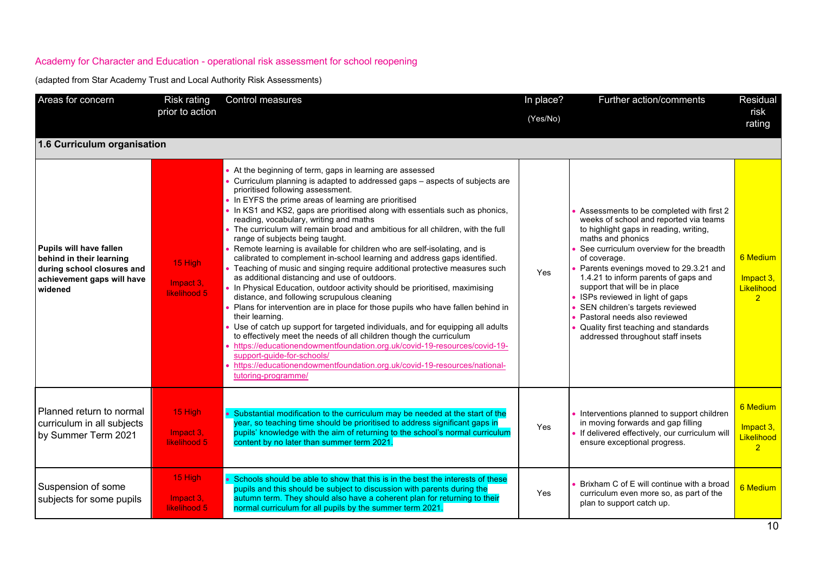| Areas for concern                                                                                                                 | <b>Risk rating</b><br>prior to action | Control measures                                                                                                                                                                                                                                                                                                                                                                                                                                                                                                                                                                                                                                                                                                                                                                                                                                                                                                                                                                                                                                                                                                                                                                                                                                                                                                                                                                                   | In place?<br>(Yes/No) | Further action/comments                                                                                                                                                                                                                                                                                                                                                                                                                                                                                          | Residual<br>risk<br>rating                            |
|-----------------------------------------------------------------------------------------------------------------------------------|---------------------------------------|----------------------------------------------------------------------------------------------------------------------------------------------------------------------------------------------------------------------------------------------------------------------------------------------------------------------------------------------------------------------------------------------------------------------------------------------------------------------------------------------------------------------------------------------------------------------------------------------------------------------------------------------------------------------------------------------------------------------------------------------------------------------------------------------------------------------------------------------------------------------------------------------------------------------------------------------------------------------------------------------------------------------------------------------------------------------------------------------------------------------------------------------------------------------------------------------------------------------------------------------------------------------------------------------------------------------------------------------------------------------------------------------------|-----------------------|------------------------------------------------------------------------------------------------------------------------------------------------------------------------------------------------------------------------------------------------------------------------------------------------------------------------------------------------------------------------------------------------------------------------------------------------------------------------------------------------------------------|-------------------------------------------------------|
| 1.6 Curriculum organisation                                                                                                       |                                       |                                                                                                                                                                                                                                                                                                                                                                                                                                                                                                                                                                                                                                                                                                                                                                                                                                                                                                                                                                                                                                                                                                                                                                                                                                                                                                                                                                                                    |                       |                                                                                                                                                                                                                                                                                                                                                                                                                                                                                                                  |                                                       |
| <b>Pupils will have fallen</b><br>behind in their learning<br>during school closures and<br>achievement gaps will have<br>widened | 15 High<br>Impact 3,<br>likelihood 5  | • At the beginning of term, gaps in learning are assessed<br>• Curriculum planning is adapted to addressed gaps – aspects of subjects are<br>prioritised following assessment.<br>• In EYFS the prime areas of learning are prioritised<br>• In KS1 and KS2, gaps are prioritised along with essentials such as phonics,<br>reading, vocabulary, writing and maths<br>. The curriculum will remain broad and ambitious for all children, with the full<br>range of subjects being taught.<br>• Remote learning is available for children who are self-isolating, and is<br>calibrated to complement in-school learning and address gaps identified.<br>• Teaching of music and singing require additional protective measures such<br>as additional distancing and use of outdoors.<br>• In Physical Education, outdoor activity should be prioritised, maximising<br>distance, and following scrupulous cleaning<br>• Plans for intervention are in place for those pupils who have fallen behind in<br>their learning.<br>• Use of catch up support for targeted individuals, and for equipping all adults<br>to effectively meet the needs of all children though the curriculum<br>• https://educationendowmentfoundation.org.uk/covid-19-resources/covid-19-<br>support-guide-for-schools/<br>https://educationendowmentfoundation.org.uk/covid-19-resources/national-<br>tutoring-programme/ | <b>Yes</b>            | Assessments to be completed with first 2<br>weeks of school and reported via teams<br>to highlight gaps in reading, writing,<br>maths and phonics<br>See curriculum overview for the breadth<br>of coverage.<br>Parents evenings moved to 29.3.21 and<br>1.4.21 to inform parents of gaps and<br>support that will be in place<br>ISPs reviewed in light of gaps<br>SEN children's targets reviewed<br>Pastoral needs also reviewed<br>Quality first teaching and standards<br>addressed throughout staff insets | 6 Medium<br>Impact 3.<br>Likelihood<br>$\overline{2}$ |
| Planned return to normal<br>curriculum in all subjects<br>by Summer Term 2021                                                     | 15 High<br>Impact 3,<br>likelihood 5  | Substantial modification to the curriculum may be needed at the start of the<br>year, so teaching time should be prioritised to address significant gaps in<br>pupils' knowledge with the aim of returning to the school's normal curriculum<br>content by no later than summer term 2021.                                                                                                                                                                                                                                                                                                                                                                                                                                                                                                                                                                                                                                                                                                                                                                                                                                                                                                                                                                                                                                                                                                         | Yes                   | • Interventions planned to support children<br>in moving forwards and gap filling<br>If delivered effectively, our curriculum will<br>ensure exceptional progress.                                                                                                                                                                                                                                                                                                                                               | 6 Medium<br>Impact 3.<br>Likelihood<br>$\overline{2}$ |
| Suspension of some<br>subjects for some pupils                                                                                    | 15 High<br>Impact 3,<br>likelihood 5  | Schools should be able to show that this is in the best the interests of these<br>pupils and this should be subject to discussion with parents during the<br>autumn term. They should also have a coherent plan for returning to their<br>normal curriculum for all pupils by the summer term 2021.                                                                                                                                                                                                                                                                                                                                                                                                                                                                                                                                                                                                                                                                                                                                                                                                                                                                                                                                                                                                                                                                                                | Yes                   | Brixham C of E will continue with a broad<br>curriculum even more so, as part of the<br>plan to support catch up.                                                                                                                                                                                                                                                                                                                                                                                                | 6 Medium                                              |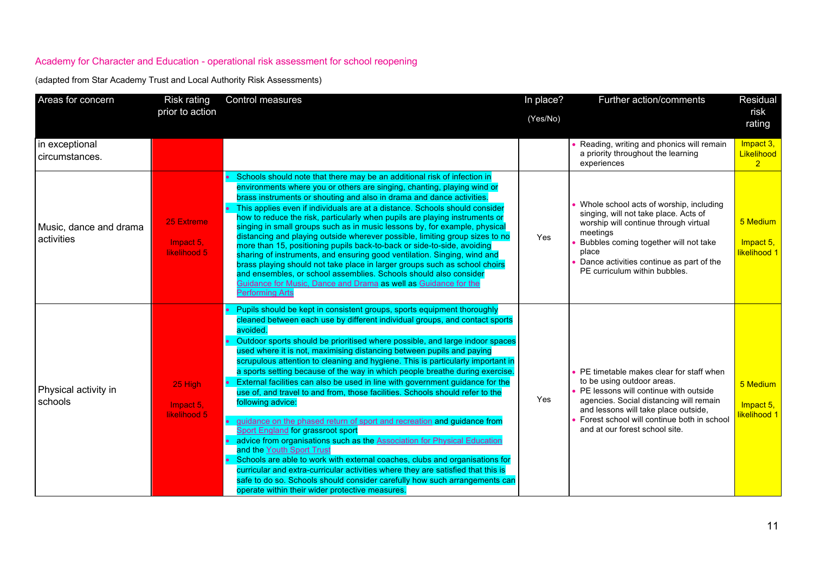| Areas for concern                    | <b>Risk rating</b>                      | Control measures                                                                                                                                                                                                                                                                                                                                                                                                                                                                                                                                                                                                                                                                                                                                                                                                                                                                                                                                                                                                                                                                                                                                                                                                                   | In place? | Further action/comments                                                                                                                                                                                                                                                           | Residual                                  |
|--------------------------------------|-----------------------------------------|------------------------------------------------------------------------------------------------------------------------------------------------------------------------------------------------------------------------------------------------------------------------------------------------------------------------------------------------------------------------------------------------------------------------------------------------------------------------------------------------------------------------------------------------------------------------------------------------------------------------------------------------------------------------------------------------------------------------------------------------------------------------------------------------------------------------------------------------------------------------------------------------------------------------------------------------------------------------------------------------------------------------------------------------------------------------------------------------------------------------------------------------------------------------------------------------------------------------------------|-----------|-----------------------------------------------------------------------------------------------------------------------------------------------------------------------------------------------------------------------------------------------------------------------------------|-------------------------------------------|
|                                      | prior to action                         |                                                                                                                                                                                                                                                                                                                                                                                                                                                                                                                                                                                                                                                                                                                                                                                                                                                                                                                                                                                                                                                                                                                                                                                                                                    | (Yes/No)  |                                                                                                                                                                                                                                                                                   | risk<br>rating                            |
| in exceptional<br>circumstances.     |                                         |                                                                                                                                                                                                                                                                                                                                                                                                                                                                                                                                                                                                                                                                                                                                                                                                                                                                                                                                                                                                                                                                                                                                                                                                                                    |           | Reading, writing and phonics will remain<br>a priority throughout the learning<br>experiences                                                                                                                                                                                     | Impact 3,<br>Likelihood<br>$\overline{2}$ |
| Music, dance and drama<br>activities | 25 Extreme<br>Impact 5.<br>likelihood 5 | Schools should note that there may be an additional risk of infection in<br>environments where you or others are singing, chanting, playing wind or<br>brass instruments or shouting and also in drama and dance activities.<br>This applies even if individuals are at a distance. Schools should consider<br>how to reduce the risk, particularly when pupils are playing instruments or<br>singing in small groups such as in music lessons by, for example, physical<br>distancing and playing outside wherever possible, limiting group sizes to no<br>more than 15, positioning pupils back-to-back or side-to-side, avoiding<br>sharing of instruments, and ensuring good ventilation. Singing, wind and<br>brass playing should not take place in larger groups such as school choirs<br>and ensembles, or school assemblies. Schools should also consider<br>Guidance for Music, Dance and Drama as well as Guidance for the<br><b>Performing Arts</b>                                                                                                                                                                                                                                                                    | Yes       | Whole school acts of worship, including<br>singing, will not take place. Acts of<br>worship will continue through virtual<br>meetings<br>Bubbles coming together will not take<br>place<br>Dance activities continue as part of the<br>PE curriculum within bubbles.              | 5 Medium<br>Impact 5,<br>likelihood 1     |
| Physical activity in<br>schools      | 25 High<br>Impact 5,<br>likelihood 5    | Pupils should be kept in consistent groups, sports equipment thoroughly<br>cleaned between each use by different individual groups, and contact sports<br>avoided.<br>Outdoor sports should be prioritised where possible, and large indoor spaces<br>used where it is not, maximising distancing between pupils and paying<br>scrupulous attention to cleaning and hygiene. This is particularly important in<br>a sports setting because of the way in which people breathe during exercise.<br>External facilities can also be used in line with government guidance for the<br>use of, and travel to and from, those facilities. Schools should refer to the<br>following advice:<br>guidance on the phased return of sport and recreation and guidance from<br><b>Sport England for grassroot sport</b><br>advice from organisations such as the <b>Association for Physical Education</b><br>and the Youth Sport Trust<br>• Schools are able to work with external coaches, clubs and organisations for<br>curricular and extra-curricular activities where they are satisfied that this is<br>safe to do so. Schools should consider carefully how such arrangements can<br>operate within their wider protective measures. | Yes       | PE timetable makes clear for staff when<br>to be using outdoor areas.<br>PE lessons will continue with outside<br>agencies. Social distancing will remain<br>and lessons will take place outside,<br>Forest school will continue both in school<br>and at our forest school site. | 5 Medium<br>Impact 5,<br>likelihood 1     |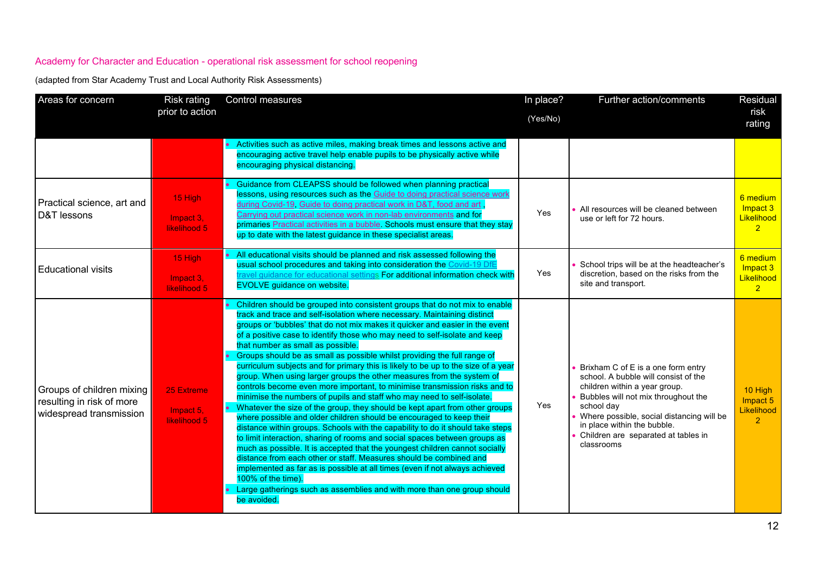| Areas for concern                                                                 | Risk rating<br>prior to action          | Control measures                                                                                                                                                                                                                                                                                                                                                                                                                                                                                                                                                                                                                                                                                                                                                                                                                                                                                                                                                                                                                                                                                                                                                                                                                                                                                                                                                                                                                        | In place?<br>(Yes/No) | Further action/comments                                                                                                                                                                                                                                                                           | Residual<br>risk<br>rating                           |
|-----------------------------------------------------------------------------------|-----------------------------------------|-----------------------------------------------------------------------------------------------------------------------------------------------------------------------------------------------------------------------------------------------------------------------------------------------------------------------------------------------------------------------------------------------------------------------------------------------------------------------------------------------------------------------------------------------------------------------------------------------------------------------------------------------------------------------------------------------------------------------------------------------------------------------------------------------------------------------------------------------------------------------------------------------------------------------------------------------------------------------------------------------------------------------------------------------------------------------------------------------------------------------------------------------------------------------------------------------------------------------------------------------------------------------------------------------------------------------------------------------------------------------------------------------------------------------------------------|-----------------------|---------------------------------------------------------------------------------------------------------------------------------------------------------------------------------------------------------------------------------------------------------------------------------------------------|------------------------------------------------------|
|                                                                                   |                                         | • Activities such as active miles, making break times and lessons active and<br>encouraging active travel help enable pupils to be physically active while<br>encouraging physical distancing.                                                                                                                                                                                                                                                                                                                                                                                                                                                                                                                                                                                                                                                                                                                                                                                                                                                                                                                                                                                                                                                                                                                                                                                                                                          |                       |                                                                                                                                                                                                                                                                                                   |                                                      |
| Practical science, art and<br>D&T lessons                                         | 15 High<br>Impact 3,<br>likelihood 5    | Guidance from CLEAPSS should be followed when planning practical<br>lessons, using resources such as the Guide to doing practical science work<br>during Covid-19, Guide to doing practical work in D&T, food and art,<br>Carrying out practical science work in non-lab environments and for<br>primaries Practical activities in a bubble. Schools must ensure that they stay<br>up to date with the latest guidance in these specialist areas.                                                                                                                                                                                                                                                                                                                                                                                                                                                                                                                                                                                                                                                                                                                                                                                                                                                                                                                                                                                       | Yes                   | All resources will be cleaned between<br>use or left for 72 hours.                                                                                                                                                                                                                                | 6 medium<br>Impact 3<br>Likelihood<br>$\overline{2}$ |
| <b>Educational visits</b>                                                         | 15 High<br>Impact 3,<br>likelihood 5    | All educational visits should be planned and risk assessed following the<br>usual school procedures and taking into consideration the Covid-19 DfE<br>ravel guidance for educational settings For additional information check with<br><b>EVOLVE</b> guidance on website.                                                                                                                                                                                                                                                                                                                                                                                                                                                                                                                                                                                                                                                                                                                                                                                                                                                                                                                                                                                                                                                                                                                                                               | Yes                   | School trips will be at the headteacher's<br>discretion, based on the risks from the<br>site and transport.                                                                                                                                                                                       | 6 medium<br>Impact 3<br>Likelihood<br>2 <sup>1</sup> |
| Groups of children mixing<br>resulting in risk of more<br>widespread transmission | 25 Extreme<br>Impact 5,<br>likelihood 5 | Children should be grouped into consistent groups that do not mix to enable<br>track and trace and self-isolation where necessary. Maintaining distinct<br>groups or 'bubbles' that do not mix makes it quicker and easier in the event<br>of a positive case to identify those who may need to self-isolate and keep<br>that number as small as possible.<br>Groups should be as small as possible whilst providing the full range of<br>curriculum subjects and for primary this is likely to be up to the size of a year<br>group. When using larger groups the other measures from the system of<br>controls become even more important, to minimise transmission risks and to<br>minimise the numbers of pupils and staff who may need to self-isolate.<br>Whatever the size of the group, they should be kept apart from other groups<br>where possible and older children should be encouraged to keep their<br>distance within groups. Schools with the capability to do it should take steps<br>to limit interaction, sharing of rooms and social spaces between groups as<br>much as possible. It is accepted that the youngest children cannot socially<br>distance from each other or staff. Measures should be combined and<br>implemented as far as is possible at all times (even if not always achieved<br>100% of the time).<br>Large gatherings such as assemblies and with more than one group should<br>be avoided. | <b>Yes</b>            | Brixham C of E is a one form entry<br>school. A bubble will consist of the<br>children within a year group.<br>Bubbles will not mix throughout the<br>school day<br>Where possible, social distancing will be<br>in place within the bubble.<br>Children are separated at tables in<br>classrooms | 10 High<br>Impact 5<br>Likelihood<br>$\overline{2}$  |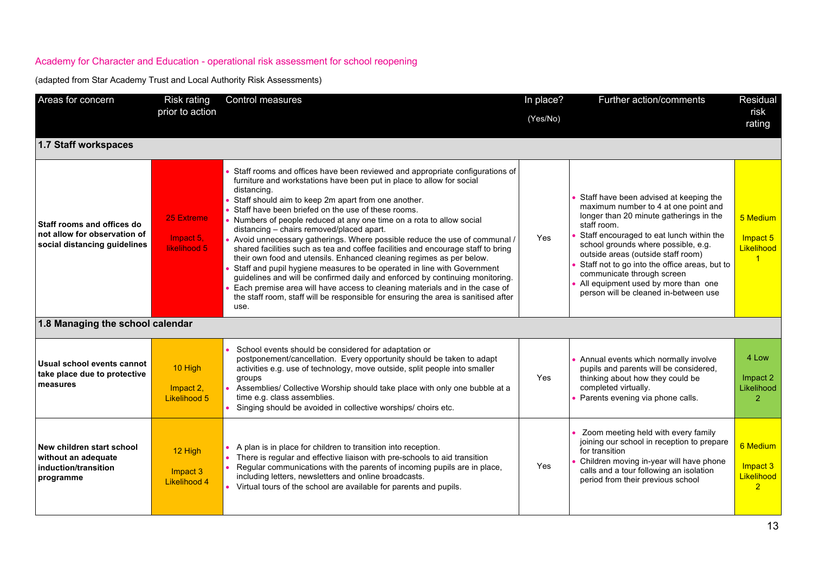| Areas for concern                                                                          | <b>Risk rating</b><br>prior to action   | Control measures                                                                                                                                                                                                                                                                                                                                                                                                                                                                                                                                                                                                                                                                                                                                                                                                                                                                                                                                                                                    | In place?<br>(Yes/No) | Further action/comments                                                                                                                                                                                                                                                                                                                                                                                                          | Residual<br>risk<br>rating                           |
|--------------------------------------------------------------------------------------------|-----------------------------------------|-----------------------------------------------------------------------------------------------------------------------------------------------------------------------------------------------------------------------------------------------------------------------------------------------------------------------------------------------------------------------------------------------------------------------------------------------------------------------------------------------------------------------------------------------------------------------------------------------------------------------------------------------------------------------------------------------------------------------------------------------------------------------------------------------------------------------------------------------------------------------------------------------------------------------------------------------------------------------------------------------------|-----------------------|----------------------------------------------------------------------------------------------------------------------------------------------------------------------------------------------------------------------------------------------------------------------------------------------------------------------------------------------------------------------------------------------------------------------------------|------------------------------------------------------|
| 1.7 Staff workspaces                                                                       |                                         |                                                                                                                                                                                                                                                                                                                                                                                                                                                                                                                                                                                                                                                                                                                                                                                                                                                                                                                                                                                                     |                       |                                                                                                                                                                                                                                                                                                                                                                                                                                  |                                                      |
| Staff rooms and offices do<br>not allow for observation of<br>social distancing guidelines | 25 Extreme<br>Impact 5,<br>likelihood 5 | • Staff rooms and offices have been reviewed and appropriate configurations of<br>furniture and workstations have been put in place to allow for social<br>distancing.<br>• Staff should aim to keep 2m apart from one another.<br>• Staff have been briefed on the use of these rooms.<br>• Numbers of people reduced at any one time on a rota to allow social<br>distancing - chairs removed/placed apart.<br>• Avoid unnecessary gatherings. Where possible reduce the use of communal /<br>shared facilities such as tea and coffee facilities and encourage staff to bring<br>their own food and utensils. Enhanced cleaning regimes as per below.<br>• Staff and pupil hygiene measures to be operated in line with Government<br>guidelines and will be confirmed daily and enforced by continuing monitoring.<br>Each premise area will have access to cleaning materials and in the case of<br>the staff room, staff will be responsible for ensuring the area is sanitised after<br>use. | <b>Yes</b>            | Staff have been advised at keeping the<br>maximum number to 4 at one point and<br>longer than 20 minute gatherings in the<br>staff room.<br>Staff encouraged to eat lunch within the<br>school grounds where possible, e.g.<br>outside areas (outside staff room)<br>Staff not to go into the office areas, but to<br>communicate through screen<br>All equipment used by more than one<br>person will be cleaned in-between use | 5 Medium<br>Impact 5<br>Likelihood                   |
| 1.8 Managing the school calendar                                                           |                                         |                                                                                                                                                                                                                                                                                                                                                                                                                                                                                                                                                                                                                                                                                                                                                                                                                                                                                                                                                                                                     |                       |                                                                                                                                                                                                                                                                                                                                                                                                                                  |                                                      |
| Usual school events cannot<br>take place due to protective<br>measures                     | 10 High<br>Impact 2,<br>Likelihood 5    | School events should be considered for adaptation or<br>$\bullet$<br>postponement/cancellation. Every opportunity should be taken to adapt<br>activities e.g. use of technology, move outside, split people into smaller<br>groups<br>Assemblies/ Collective Worship should take place with only one bubble at a<br>time e.g. class assemblies.<br>Singing should be avoided in collective worships/ choirs etc.                                                                                                                                                                                                                                                                                                                                                                                                                                                                                                                                                                                    | Yes                   | • Annual events which normally involve<br>pupils and parents will be considered.<br>thinking about how they could be<br>completed virtually.<br>Parents evening via phone calls.                                                                                                                                                                                                                                                 | 4 Low<br>Impact 2<br>Likelihood<br>$\mathcal{P}$     |
| New children start school<br>without an adequate<br>induction/transition<br>programme      | 12 High<br>Impact 3<br>Likelihood 4     | A plan is in place for children to transition into reception.<br>There is regular and effective liaison with pre-schools to aid transition<br>$\bullet$<br>Regular communications with the parents of incoming pupils are in place,<br>$\bullet$<br>including letters, newsletters and online broadcasts.<br>• Virtual tours of the school are available for parents and pupils.                                                                                                                                                                                                                                                                                                                                                                                                                                                                                                                                                                                                                    | Yes                   | Zoom meeting held with every family<br>joining our school in reception to prepare<br>for transition<br>Children moving in-year will have phone<br>calls and a tour following an isolation<br>period from their previous school                                                                                                                                                                                                   | 6 Medium<br>Impact 3<br>Likelihood<br>$\overline{2}$ |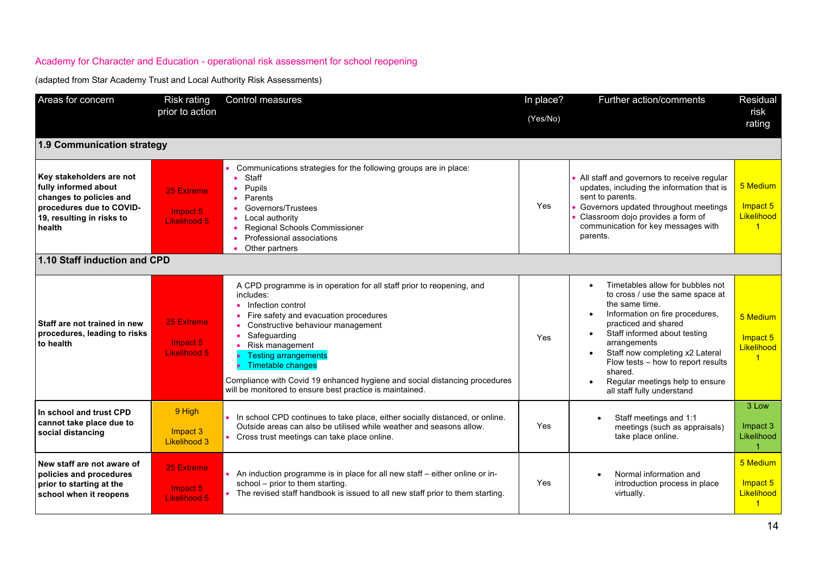| Areas for concern                                                                                                                              | Risk rating<br>prior to action         | <b>Control measures</b>                                                                                                                                                                                                                                                                                                                                                                                                         | In place?<br>(Yes/No) | Further action/comments                                                                                                                                                                                                                                                                                                                                                          | Residual<br>risk<br>rating                                 |
|------------------------------------------------------------------------------------------------------------------------------------------------|----------------------------------------|---------------------------------------------------------------------------------------------------------------------------------------------------------------------------------------------------------------------------------------------------------------------------------------------------------------------------------------------------------------------------------------------------------------------------------|-----------------------|----------------------------------------------------------------------------------------------------------------------------------------------------------------------------------------------------------------------------------------------------------------------------------------------------------------------------------------------------------------------------------|------------------------------------------------------------|
| 1.9 Communication strategy                                                                                                                     |                                        |                                                                                                                                                                                                                                                                                                                                                                                                                                 |                       |                                                                                                                                                                                                                                                                                                                                                                                  |                                                            |
| Key stakeholders are not<br>fully informed about<br>changes to policies and<br>procedures due to COVID-<br>19, resulting in risks to<br>health | 25 Extreme<br>Impact 5<br>Likelihood 5 | Communications strategies for the following groups are in place:<br>Staff<br>Pupils<br>Parents<br>Governors/Trustees<br>Local authority<br>Regional Schools Commissioner<br>Professional associations<br>Other partners                                                                                                                                                                                                         | Yes                   | • All staff and governors to receive regular<br>updates, including the information that is<br>sent to parents.<br>Governors updated throughout meetings<br>Classroom dojo provides a form of<br>communication for key messages with<br>parents.                                                                                                                                  | 5 Medium<br>Impact 5<br>Likelihood<br>$\blacktriangleleft$ |
| 1.10 Staff induction and CPD                                                                                                                   |                                        |                                                                                                                                                                                                                                                                                                                                                                                                                                 |                       |                                                                                                                                                                                                                                                                                                                                                                                  |                                                            |
| Staff are not trained in new<br>procedures, leading to risks<br>to health                                                                      | 25 Extreme<br>Impact 5<br>Likelihood 5 | A CPD programme is in operation for all staff prior to reopening, and<br>includes:<br>Infection control<br>Fire safety and evacuation procedures<br>Constructive behaviour management<br>Safequarding<br>• Risk management<br><b>Testing arrangements</b><br><b>Timetable changes</b><br>Compliance with Covid 19 enhanced hygiene and social distancing procedures<br>will be monitored to ensure best practice is maintained. | Yes                   | Timetables allow for bubbles not<br>$\bullet$<br>to cross / use the same space at<br>the same time.<br>Information on fire procedures,<br>practiced and shared<br>Staff informed about testing<br>arrangements<br>Staff now completing x2 Lateral<br>$\bullet$<br>Flow tests - how to report results<br>shared.<br>Regular meetings help to ensure<br>all staff fully understand | 5 Medium<br>Impact 5<br>Likelihood<br>$\overline{1}$       |
| In school and trust CPD<br>cannot take place due to<br>social distancing                                                                       | 9 High<br>Impact 3<br>Likelihood 3     | In school CPD continues to take place, either socially distanced, or online.<br>Outside areas can also be utilised while weather and seasons allow.<br>Cross trust meetings can take place online.                                                                                                                                                                                                                              | Yes                   | Staff meetings and 1:1<br>meetings (such as appraisals)<br>take place online.                                                                                                                                                                                                                                                                                                    | 3 Low<br>Impact 3<br>Likelihood                            |
| New staff are not aware of<br>policies and procedures<br>prior to starting at the<br>school when it reopens                                    | 25 Extreme<br>Impact 5<br>Likelihood 5 | An induction programme is in place for all new staff - either online or in-<br>school - prior to them starting.<br>• The revised staff handbook is issued to all new staff prior to them starting.                                                                                                                                                                                                                              | <b>Yes</b>            | Normal information and<br>introduction process in place<br>virtually.                                                                                                                                                                                                                                                                                                            | 5 Medium<br>Impact 5<br>Likelihood<br>$\overline{1}$       |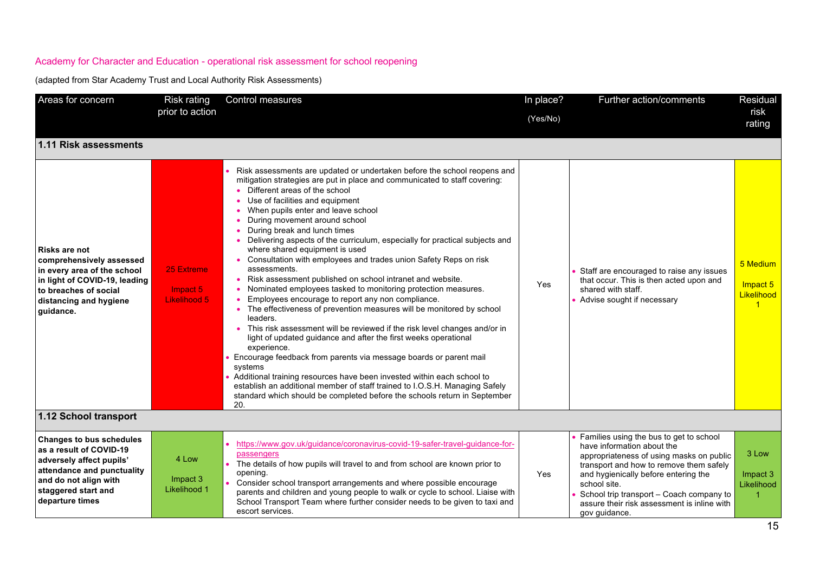| Areas for concern                                                                                                                                                                       | Risk rating<br>prior to action         | Control measures                                                                                                                                                                                                                                                                                                                                                                                                                                                                                                                                                                                                                                                                                                                                                                                                                                                                                                                                                                                                                                                                                                                                                                                                                                                                                              | In place?<br>(Yes/No) | Further action/comments                                                                                                                                                                                                                                                                                                          | <b>Residual</b><br>risk<br>rating                          |
|-----------------------------------------------------------------------------------------------------------------------------------------------------------------------------------------|----------------------------------------|---------------------------------------------------------------------------------------------------------------------------------------------------------------------------------------------------------------------------------------------------------------------------------------------------------------------------------------------------------------------------------------------------------------------------------------------------------------------------------------------------------------------------------------------------------------------------------------------------------------------------------------------------------------------------------------------------------------------------------------------------------------------------------------------------------------------------------------------------------------------------------------------------------------------------------------------------------------------------------------------------------------------------------------------------------------------------------------------------------------------------------------------------------------------------------------------------------------------------------------------------------------------------------------------------------------|-----------------------|----------------------------------------------------------------------------------------------------------------------------------------------------------------------------------------------------------------------------------------------------------------------------------------------------------------------------------|------------------------------------------------------------|
| 1.11 Risk assessments                                                                                                                                                                   |                                        |                                                                                                                                                                                                                                                                                                                                                                                                                                                                                                                                                                                                                                                                                                                                                                                                                                                                                                                                                                                                                                                                                                                                                                                                                                                                                                               |                       |                                                                                                                                                                                                                                                                                                                                  |                                                            |
| Risks are not<br>comprehensively assessed<br>in every area of the school<br>in light of COVID-19, leading<br>to breaches of social<br>distancing and hygiene<br>quidance.               | 25 Extreme<br>Impact 5<br>Likelihood 5 | Risk assessments are updated or undertaken before the school reopens and<br>mitigation strategies are put in place and communicated to staff covering:<br>Different areas of the school<br>Use of facilities and equipment<br>When pupils enter and leave school<br>During movement around school<br>During break and lunch times<br>Delivering aspects of the curriculum, especially for practical subjects and<br>where shared equipment is used<br>Consultation with employees and trades union Safety Reps on risk<br>assessments.<br>Risk assessment published on school intranet and website.<br>Nominated employees tasked to monitoring protection measures.<br>Employees encourage to report any non compliance.<br>The effectiveness of prevention measures will be monitored by school<br>leaders.<br>• This risk assessment will be reviewed if the risk level changes and/or in<br>light of updated guidance and after the first weeks operational<br>experience.<br>Encourage feedback from parents via message boards or parent mail<br>systems<br>• Additional training resources have been invested within each school to<br>establish an additional member of staff trained to I.O.S.H. Managing Safely<br>standard which should be completed before the schools return in September<br>20. | Yes                   | Staff are encouraged to raise any issues<br>that occur. This is then acted upon and<br>shared with staff.<br>• Advise sought if necessary                                                                                                                                                                                        | 5 Medium<br>Impact 5<br>Likelihood<br>$\blacktriangleleft$ |
| 1.12 School transport                                                                                                                                                                   |                                        |                                                                                                                                                                                                                                                                                                                                                                                                                                                                                                                                                                                                                                                                                                                                                                                                                                                                                                                                                                                                                                                                                                                                                                                                                                                                                                               |                       |                                                                                                                                                                                                                                                                                                                                  |                                                            |
| <b>Changes to bus schedules</b><br>as a result of COVID-19<br>adversely affect pupils'<br>attendance and punctuality<br>and do not align with<br>staggered start and<br>departure times | 4 Low<br>Impact 3<br>Likelihood 1      | https://www.gov.uk/guidance/coronavirus-covid-19-safer-travel-guidance-for-<br>passengers<br>The details of how pupils will travel to and from school are known prior to<br>opening.<br>Consider school transport arrangements and where possible encourage<br>parents and children and young people to walk or cycle to school. Liaise with<br>School Transport Team where further consider needs to be given to taxi and<br>escort services.                                                                                                                                                                                                                                                                                                                                                                                                                                                                                                                                                                                                                                                                                                                                                                                                                                                                | Yes                   | Families using the bus to get to school<br>have information about the<br>appropriateness of using masks on public<br>transport and how to remove them safely<br>and hygienically before entering the<br>school site.<br>School trip transport - Coach company to<br>assure their risk assessment is inline with<br>gov guidance. | 3 Low<br>Impact 3<br>Likelihood<br>-1                      |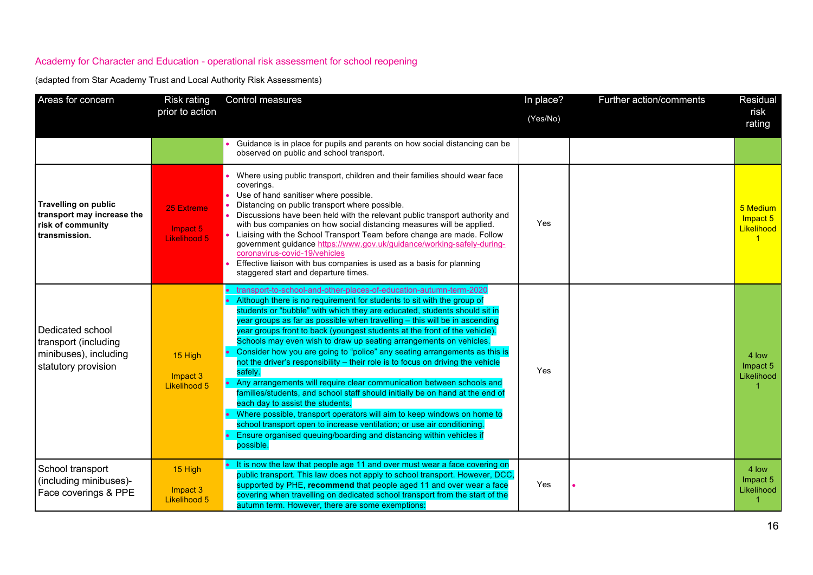| Areas for concern                                                                               | <b>Risk rating</b>                         | Control measures                                                                                                                                                                                                                                                                                                                                                                                                                                                                                                                                                                                                                                                                                                                                                                                                                                                                                                                                                                                                                                                                | In place? | Further action/comments | Residual                                                   |
|-------------------------------------------------------------------------------------------------|--------------------------------------------|---------------------------------------------------------------------------------------------------------------------------------------------------------------------------------------------------------------------------------------------------------------------------------------------------------------------------------------------------------------------------------------------------------------------------------------------------------------------------------------------------------------------------------------------------------------------------------------------------------------------------------------------------------------------------------------------------------------------------------------------------------------------------------------------------------------------------------------------------------------------------------------------------------------------------------------------------------------------------------------------------------------------------------------------------------------------------------|-----------|-------------------------|------------------------------------------------------------|
|                                                                                                 | prior to action                            |                                                                                                                                                                                                                                                                                                                                                                                                                                                                                                                                                                                                                                                                                                                                                                                                                                                                                                                                                                                                                                                                                 | (Yes/No)  |                         | risk<br>rating                                             |
|                                                                                                 |                                            | Guidance is in place for pupils and parents on how social distancing can be<br>observed on public and school transport.                                                                                                                                                                                                                                                                                                                                                                                                                                                                                                                                                                                                                                                                                                                                                                                                                                                                                                                                                         |           |                         |                                                            |
| <b>Travelling on public</b><br>transport may increase the<br>risk of community<br>transmission. | 25 Extreme<br>Impact 5<br>Likelihood 5     | Where using public transport, children and their families should wear face<br>coverings.<br>Use of hand sanitiser where possible.<br>Distancing on public transport where possible.<br>Discussions have been held with the relevant public transport authority and<br>with bus companies on how social distancing measures will be applied.<br>Liaising with the School Transport Team before change are made. Follow<br>government guidance https://www.gov.uk/guidance/working-safely-during-<br>coronavirus-covid-19/vehicles<br>Effective liaison with bus companies is used as a basis for planning<br>staggered start and departure times.                                                                                                                                                                                                                                                                                                                                                                                                                                | Yes       |                         | 5 Medium<br>Impact 5<br>Likelihood<br>$\blacktriangleleft$ |
| Dedicated school<br>transport (including<br>minibuses), including<br>statutory provision        | 15 High<br>Impact 3<br><b>Likelihood 5</b> | transport-to-school-and-other-places-of-education-autumn-term-2020<br>Although there is no requirement for students to sit with the group of<br>students or "bubble" with which they are educated, students should sit in<br>year groups as far as possible when travelling - this will be in ascending<br>year groups front to back (youngest students at the front of the vehicle).<br>Schools may even wish to draw up seating arrangements on vehicles.<br>Consider how you are going to "police" any seating arrangements as this is<br>not the driver's responsibility - their role is to focus on driving the vehicle<br>safely.<br>Any arrangements will require clear communication between schools and<br>families/students, and school staff should initially be on hand at the end of<br>each day to assist the students.<br>Where possible, transport operators will aim to keep windows on home to<br>school transport open to increase ventilation; or use air conditioning.<br>Ensure organised queuing/boarding and distancing within vehicles if<br>possible. | Yes       |                         | 4 low<br>Impact 5<br>Likelihood                            |
| School transport<br>(including minibuses)-<br>Face coverings & PPE                              | 15 High<br>Impact 3<br><b>Likelihood 5</b> | It is now the law that people age 11 and over must wear a face covering on<br>public transport. This law does not apply to school transport. However, DCC,<br>supported by PHE, recommend that people aged 11 and over wear a face<br>covering when travelling on dedicated school transport from the start of the<br>autumn term. However, there are some exemptions:                                                                                                                                                                                                                                                                                                                                                                                                                                                                                                                                                                                                                                                                                                          | Yes       |                         | 4 low<br>Impact 5<br>Likelihood                            |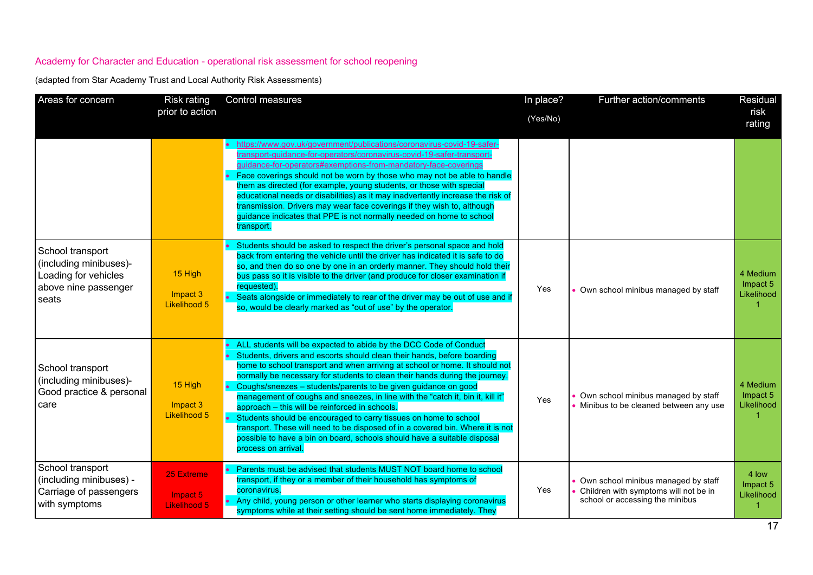| Areas for concern                                                                                   | <b>Risk rating</b><br>prior to action                | Control measures                                                                                                                                                                                                                                                                                                                                                                                                                                                                                                                                                                                                                                                                                                                                                          | In place?<br>(Yes/No) | Further action/comments                                                                                         | Residual<br>risk<br>rating         |
|-----------------------------------------------------------------------------------------------------|------------------------------------------------------|---------------------------------------------------------------------------------------------------------------------------------------------------------------------------------------------------------------------------------------------------------------------------------------------------------------------------------------------------------------------------------------------------------------------------------------------------------------------------------------------------------------------------------------------------------------------------------------------------------------------------------------------------------------------------------------------------------------------------------------------------------------------------|-----------------------|-----------------------------------------------------------------------------------------------------------------|------------------------------------|
|                                                                                                     |                                                      | • https://www.gov.uk/government/publications/coronavirus-covid-19-safer-<br>transport-guidance-for-operators/coronavirus-covid-19-safer-transport-<br>guidance-for-operators#exemptions-from-mandatory-face-coverings<br>Face coverings should not be worn by those who may not be able to handle<br>them as directed (for example, young students, or those with special<br>educational needs or disabilities) as it may inadvertently increase the risk of<br>transmission. Drivers may wear face coverings if they wish to, although<br>guidance indicates that PPE is not normally needed on home to school<br>transport.                                                                                                                                             |                       |                                                                                                                 |                                    |
| School transport<br>(including minibuses)-<br>Loading for vehicles<br>above nine passenger<br>seats | 15 High<br>Impact 3<br>Likelihood 5                  | Students should be asked to respect the driver's personal space and hold<br>back from entering the vehicle until the driver has indicated it is safe to do<br>so, and then do so one by one in an orderly manner. They should hold their<br>bus pass so it is visible to the driver (and produce for closer examination if<br>requested).<br>Seats alongside or immediately to rear of the driver may be out of use and if<br>so, would be clearly marked as "out of use" by the operator.                                                                                                                                                                                                                                                                                | Yes                   | Own school minibus managed by staff                                                                             | 4 Medium<br>Impact 5<br>Likelihood |
| School transport<br>(including minibuses)-<br>Good practice & personal<br>care                      | 15 High<br>Impact 3<br><b>Likelihood 5</b>           | ALL students will be expected to abide by the DCC Code of Conduct<br>Students, drivers and escorts should clean their hands, before boarding<br>home to school transport and when arriving at school or home. It should not<br>normally be necessary for students to clean their hands during the journey.<br>Coughs/sneezes - students/parents to be given guidance on good<br>management of coughs and sneezes, in line with the "catch it, bin it, kill it"<br>approach - this will be reinforced in schools.<br>Students should be encouraged to carry tissues on home to school<br>transport. These will need to be disposed of in a covered bin. Where it is not<br>possible to have a bin on board, schools should have a suitable disposal<br>process on arrival. | Yes                   | • Own school minibus managed by staff<br>• Minibus to be cleaned between any use                                | 4 Medium<br>Impact 5<br>Likelihood |
| School transport<br>(including minibuses) -<br>Carriage of passengers<br>with symptoms              | <b>25 Extreme</b><br>Impact 5<br><b>Likelihood 5</b> | Parents must be advised that students MUST NOT board home to school<br>transport, if they or a member of their household has symptoms of<br>coronavirus.<br>Any child, young person or other learner who starts displaying coronavirus<br>symptoms while at their setting should be sent home immediately. They                                                                                                                                                                                                                                                                                                                                                                                                                                                           | Yes                   | Own school minibus managed by staff<br>Children with symptoms will not be in<br>school or accessing the minibus | 4 low<br>Impact 5<br>Likelihood    |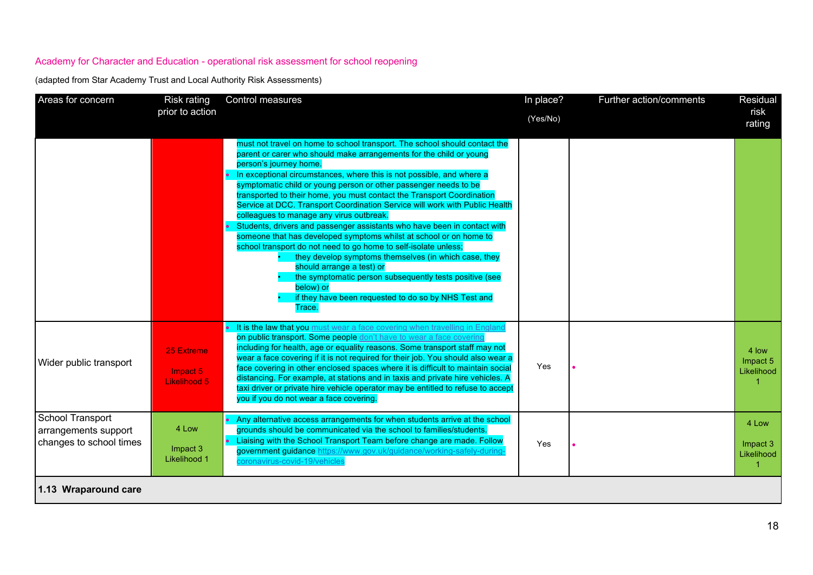| Areas for concern                                                   | <b>Risk rating</b>                     | Control measures                                                                                                                                                                                                                                                                                                                                                                                                                                                                                                                                                                                                                                                                                                                                                                                                                                                                                                                                                                   | In place? | Further action/comments | Residual                        |
|---------------------------------------------------------------------|----------------------------------------|------------------------------------------------------------------------------------------------------------------------------------------------------------------------------------------------------------------------------------------------------------------------------------------------------------------------------------------------------------------------------------------------------------------------------------------------------------------------------------------------------------------------------------------------------------------------------------------------------------------------------------------------------------------------------------------------------------------------------------------------------------------------------------------------------------------------------------------------------------------------------------------------------------------------------------------------------------------------------------|-----------|-------------------------|---------------------------------|
|                                                                     | prior to action                        |                                                                                                                                                                                                                                                                                                                                                                                                                                                                                                                                                                                                                                                                                                                                                                                                                                                                                                                                                                                    | (Yes/No)  |                         | risk<br>rating                  |
|                                                                     |                                        | must not travel on home to school transport. The school should contact the<br>parent or carer who should make arrangements for the child or young<br>person's journey home.<br>In exceptional circumstances, where this is not possible, and where a<br>symptomatic child or young person or other passenger needs to be<br>transported to their home, you must contact the Transport Coordination<br>Service at DCC. Transport Coordination Service will work with Public Health<br>colleagues to manage any virus outbreak.<br>Students, drivers and passenger assistants who have been in contact with<br>someone that has developed symptoms whilst at school or on home to<br>school transport do not need to go home to self-isolate unless;<br>they develop symptoms themselves (in which case, they<br>should arrange a test) or<br>the symptomatic person subsequently tests positive (see<br>below) or<br>if they have been requested to do so by NHS Test and<br>Trace. |           |                         |                                 |
| Wider public transport                                              | 25 Extreme<br>Impact 5<br>Likelihood 5 | • It is the law that you must wear a face covering when travelling in England<br>on public transport. Some people don't have to wear a face covering<br>including for health, age or equality reasons. Some transport staff may not<br>wear a face covering if it is not required for their job. You should also wear a<br>face covering in other enclosed spaces where it is difficult to maintain social<br>distancing. For example, at stations and in taxis and private hire vehicles. A<br>taxi driver or private hire vehicle operator may be entitled to refuse to accept<br>you if you do not wear a face covering.                                                                                                                                                                                                                                                                                                                                                        | Yes       |                         | 4 low<br>Impact 5<br>Likelihood |
| School Transport<br>arrangements support<br>changes to school times | 4 Low<br>Impact 3<br>Likelihood 1      | Any alternative access arrangements for when students arrive at the school<br>grounds should be communicated via the school to families/students.<br>Liaising with the School Transport Team before change are made. Follow<br>government guidance https://www.gov.uk/guidance/working-safely-during<br>coronavirus-covid-19/vehicles                                                                                                                                                                                                                                                                                                                                                                                                                                                                                                                                                                                                                                              | Yes       |                         | 4 Low<br>Impact 3<br>Likelihood |
| 1.13 Wraparound care                                                |                                        |                                                                                                                                                                                                                                                                                                                                                                                                                                                                                                                                                                                                                                                                                                                                                                                                                                                                                                                                                                                    |           |                         |                                 |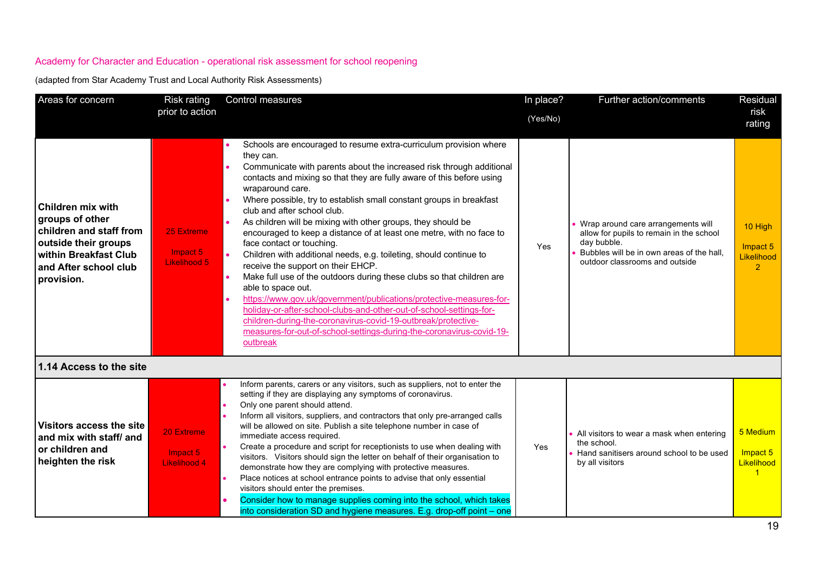| Areas for concern                                                                                                                                              | <b>Risk rating</b>                            | Control measures                                                                                                                                                                                                                                                                                                                                                                                                                                                                                                                                                                                                                                                                                                                                                                                                                                                                                                                                                                                                                                          | In place? | Further action/comments                                                                                                                                                      | Residual                                             |
|----------------------------------------------------------------------------------------------------------------------------------------------------------------|-----------------------------------------------|-----------------------------------------------------------------------------------------------------------------------------------------------------------------------------------------------------------------------------------------------------------------------------------------------------------------------------------------------------------------------------------------------------------------------------------------------------------------------------------------------------------------------------------------------------------------------------------------------------------------------------------------------------------------------------------------------------------------------------------------------------------------------------------------------------------------------------------------------------------------------------------------------------------------------------------------------------------------------------------------------------------------------------------------------------------|-----------|------------------------------------------------------------------------------------------------------------------------------------------------------------------------------|------------------------------------------------------|
|                                                                                                                                                                | prior to action                               |                                                                                                                                                                                                                                                                                                                                                                                                                                                                                                                                                                                                                                                                                                                                                                                                                                                                                                                                                                                                                                                           | (Yes/No)  |                                                                                                                                                                              | risk<br>rating                                       |
| <b>Children mix with</b><br>groups of other<br>children and staff from<br>outside their groups<br>within Breakfast Club<br>and After school club<br>provision. | 25 Extreme<br>Impact 5<br>Likelihood 5        | Schools are encouraged to resume extra-curriculum provision where<br>they can.<br>Communicate with parents about the increased risk through additional<br>contacts and mixing so that they are fully aware of this before using<br>wraparound care.<br>Where possible, try to establish small constant groups in breakfast<br>club and after school club.<br>As children will be mixing with other groups, they should be<br>encouraged to keep a distance of at least one metre, with no face to<br>face contact or touching.<br>Children with additional needs, e.g. toileting, should continue to<br>receive the support on their EHCP.<br>$\bullet$<br>Make full use of the outdoors during these clubs so that children are<br>able to space out.<br>https://www.gov.uk/government/publications/protective-measures-for-<br>holiday-or-after-school-clubs-and-other-out-of-school-settings-for-<br>children-during-the-coronavirus-covid-19-outbreak/protective-<br>measures-for-out-of-school-settings-during-the-coronavirus-covid-19-<br>outbreak | Yes       | Wrap around care arrangements will<br>allow for pupils to remain in the school<br>day bubble.<br>Bubbles will be in own areas of the hall,<br>outdoor classrooms and outside | 10 High<br>Impact 5<br>Likelihood<br>$\overline{2}$  |
| 1.14 Access to the site                                                                                                                                        |                                               |                                                                                                                                                                                                                                                                                                                                                                                                                                                                                                                                                                                                                                                                                                                                                                                                                                                                                                                                                                                                                                                           |           |                                                                                                                                                                              |                                                      |
| Visitors access the site<br>and mix with staff/ and<br>or children and<br>heighten the risk                                                                    | 20 Extreme<br>Impact 5<br><b>Likelihood 4</b> | Inform parents, carers or any visitors, such as suppliers, not to enter the<br>setting if they are displaying any symptoms of coronavirus.<br>Only one parent should attend.<br>Inform all visitors, suppliers, and contractors that only pre-arranged calls<br>will be allowed on site. Publish a site telephone number in case of<br>immediate access required.<br>Create a procedure and script for receptionists to use when dealing with<br>visitors. Visitors should sign the letter on behalf of their organisation to<br>demonstrate how they are complying with protective measures.<br>Place notices at school entrance points to advise that only essential<br>visitors should enter the premises.<br>Consider how to manage supplies coming into the school, which takes<br>$\bullet$<br>into consideration SD and hygiene measures. E.g. drop-off point – one                                                                                                                                                                                | Yes       | • All visitors to wear a mask when entering<br>the school.<br>Hand sanitisers around school to be used<br>by all visitors                                                    | 5 Medium<br>Impact 5<br>Likelihood<br>$\overline{1}$ |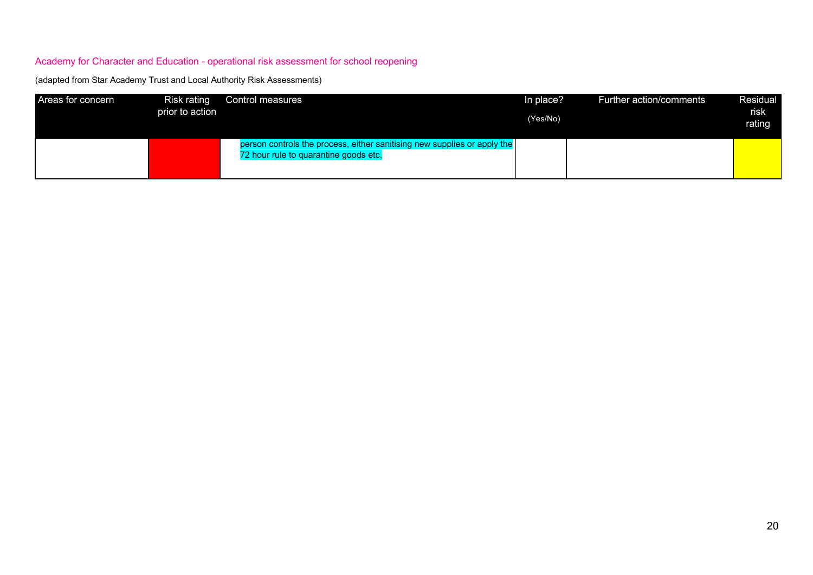| Areas for concern | Risk rating<br>prior to action | Control measures                                                                                                  | In place?<br>(Yes/No) | Further action/comments | Residual<br>risk<br>rating |
|-------------------|--------------------------------|-------------------------------------------------------------------------------------------------------------------|-----------------------|-------------------------|----------------------------|
|                   |                                | person controls the process, either sanitising new supplies or apply the<br>72 hour rule to quarantine goods etc. |                       |                         |                            |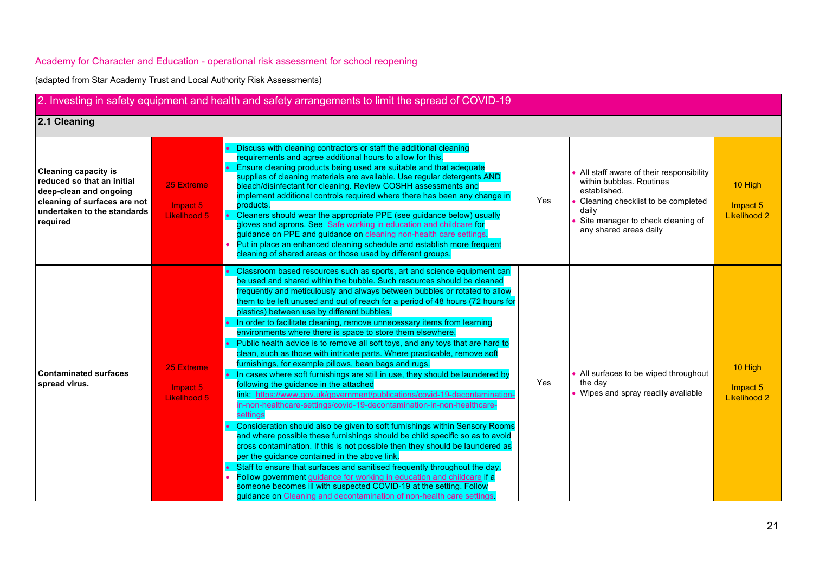| 2. Investing in safety equipment and health and safety arrangements to limit the spread of COVID-19                                                            |                                               |                                                                                                                                                                                                                                                                                                                                                                                                                                                                                                                                                                                                                                                                                                                                                                                                                                                                                                                                                                                                                                                                                                                                                                                                                                                                                                                                                                                                                                                                                                                                                                                                                                              |     |                                                                                                                                                                                                     |                                            |
|----------------------------------------------------------------------------------------------------------------------------------------------------------------|-----------------------------------------------|----------------------------------------------------------------------------------------------------------------------------------------------------------------------------------------------------------------------------------------------------------------------------------------------------------------------------------------------------------------------------------------------------------------------------------------------------------------------------------------------------------------------------------------------------------------------------------------------------------------------------------------------------------------------------------------------------------------------------------------------------------------------------------------------------------------------------------------------------------------------------------------------------------------------------------------------------------------------------------------------------------------------------------------------------------------------------------------------------------------------------------------------------------------------------------------------------------------------------------------------------------------------------------------------------------------------------------------------------------------------------------------------------------------------------------------------------------------------------------------------------------------------------------------------------------------------------------------------------------------------------------------------|-----|-----------------------------------------------------------------------------------------------------------------------------------------------------------------------------------------------------|--------------------------------------------|
| 2.1 Cleaning                                                                                                                                                   |                                               |                                                                                                                                                                                                                                                                                                                                                                                                                                                                                                                                                                                                                                                                                                                                                                                                                                                                                                                                                                                                                                                                                                                                                                                                                                                                                                                                                                                                                                                                                                                                                                                                                                              |     |                                                                                                                                                                                                     |                                            |
| <b>Cleaning capacity is</b><br>reduced so that an initial<br>deep-clean and ongoing<br>cleaning of surfaces are not<br>undertaken to the standards<br>required | <b>25 Extreme</b><br>Impact 5<br>Likelihood 5 | Discuss with cleaning contractors or staff the additional cleaning<br>requirements and agree additional hours to allow for this.<br>Ensure cleaning products being used are suitable and that adequate<br>supplies of cleaning materials are available. Use regular detergents AND<br>bleach/disinfectant for cleaning. Review COSHH assessments and<br>implement additional controls required where there has been any change in<br>products.<br>Cleaners should wear the appropriate PPE (see guidance below) usually<br>gloves and aprons. See Safe working in education and childcare for<br>guidance on PPE and guidance on cleaning non-health care settings.<br>Put in place an enhanced cleaning schedule and establish more frequent<br>cleaning of shared areas or those used by different groups.                                                                                                                                                                                                                                                                                                                                                                                                                                                                                                                                                                                                                                                                                                                                                                                                                                 | Yes | • All staff aware of their responsibility<br>within bubbles. Routines<br>established.<br>Cleaning checklist to be completed<br>daily<br>Site manager to check cleaning of<br>any shared areas daily | 10 High<br>Impact 5<br><b>Likelihood 2</b> |
| <b>Contaminated surfaces</b><br>spread virus.                                                                                                                  | 25 Extreme<br>Impact 5<br>Likelihood 5        | Classroom based resources such as sports, art and science equipment can<br>be used and shared within the bubble. Such resources should be cleaned<br>frequently and meticulously and always between bubbles or rotated to allow<br>them to be left unused and out of reach for a period of 48 hours (72 hours for<br>plastics) between use by different bubbles.<br>• In order to facilitate cleaning, remove unnecessary items from learning<br>environments where there is space to store them elsewhere.<br>Public health advice is to remove all soft toys, and any toys that are hard to<br>clean, such as those with intricate parts. Where practicable, remove soft<br>furnishings, for example pillows, bean bags and rugs.<br>. In cases where soft furnishings are still in use, they should be laundered by<br>following the guidance in the attached<br>link: https://www.gov.uk/government/publications/covid-19-decontamination-<br>in-non-healthcare-settings/covid-19-decontamination-in-non-healthcare-<br>settings<br>Consideration should also be given to soft furnishings within Sensory Rooms<br>and where possible these furnishings should be child specific so as to avoid<br>cross contamination. If this is not possible then they should be laundered as<br>per the guidance contained in the above link.<br>Staff to ensure that surfaces and sanitised frequently throughout the day.<br>Follow government guidance for working in education and childcare if a<br>someone becomes ill with suspected COVID-19 at the setting. Follow<br>guidance on Cleaning and decontamination of non-health care settings. | Yes | • All surfaces to be wiped throughout<br>the day<br>• Wipes and spray readily avaliable                                                                                                             | 10 High<br>Impact 5<br><b>Likelihood 2</b> |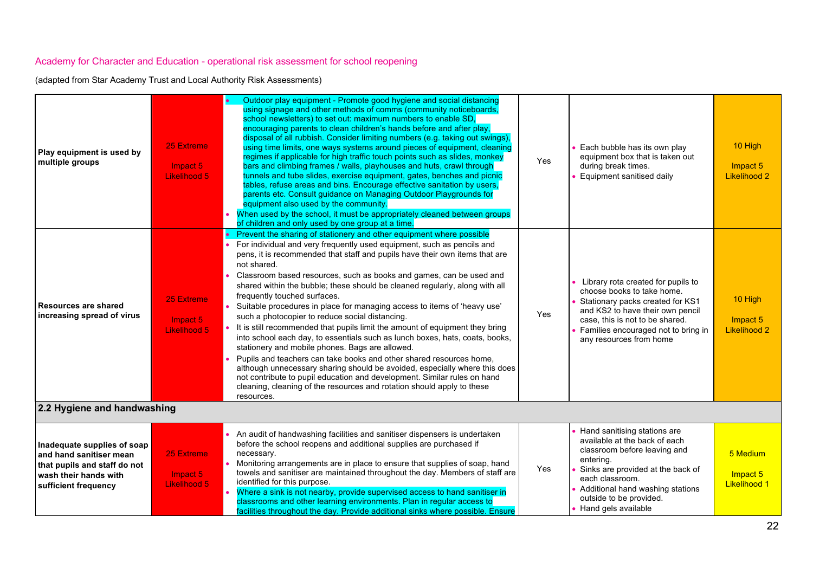| Play equipment is used by<br>multiple groups                                                                                            | 25 Extreme<br>Impact 5<br>Likelihood 5 | Outdoor play equipment - Promote good hygiene and social distancing<br>using signage and other methods of comms (community noticeboards,<br>school newsletters) to set out: maximum numbers to enable SD,<br>encouraging parents to clean children's hands before and after play,<br>disposal of all rubbish. Consider limiting numbers (e.g. taking out swings).<br>using time limits, one ways systems around pieces of equipment, cleaning<br>regimes if applicable for high traffic touch points such as slides, monkey<br>bars and climbing frames / walls, playhouses and huts, crawl through<br>tunnels and tube slides, exercise equipment, gates, benches and picnic<br>tables, refuse areas and bins. Encourage effective sanitation by users,<br>parents etc. Consult guidance on Managing Outdoor Playgrounds for<br>equipment also used by the community.<br>When used by the school, it must be appropriately cleaned between groups<br>of children and only used by one group at a time.                                                                                                           | Yes | Each bubble has its own play<br>equipment box that is taken out<br>during break times.<br>Equipment sanitised daily                                                                                                                                        | 10 High<br>Impact 5<br><b>Likelihood 2</b>  |
|-----------------------------------------------------------------------------------------------------------------------------------------|----------------------------------------|-------------------------------------------------------------------------------------------------------------------------------------------------------------------------------------------------------------------------------------------------------------------------------------------------------------------------------------------------------------------------------------------------------------------------------------------------------------------------------------------------------------------------------------------------------------------------------------------------------------------------------------------------------------------------------------------------------------------------------------------------------------------------------------------------------------------------------------------------------------------------------------------------------------------------------------------------------------------------------------------------------------------------------------------------------------------------------------------------------------------|-----|------------------------------------------------------------------------------------------------------------------------------------------------------------------------------------------------------------------------------------------------------------|---------------------------------------------|
| <b>Resources are shared</b><br>increasing spread of virus                                                                               | 25 Extreme<br>Impact 5<br>Likelihood 5 | • Prevent the sharing of stationery and other equipment where possible<br>For individual and very frequently used equipment, such as pencils and<br>pens, it is recommended that staff and pupils have their own items that are<br>not shared.<br>Classroom based resources, such as books and games, can be used and<br>shared within the bubble; these should be cleaned regularly, along with all<br>frequently touched surfaces.<br>Suitable procedures in place for managing access to items of 'heavy use'<br>such a photocopier to reduce social distancing.<br>• It is still recommended that pupils limit the amount of equipment they bring<br>into school each day, to essentials such as lunch boxes, hats, coats, books,<br>stationery and mobile phones. Bags are allowed.<br>Pupils and teachers can take books and other shared resources home,<br>although unnecessary sharing should be avoided, especially where this does<br>not contribute to pupil education and development. Similar rules on hand<br>cleaning, cleaning of the resources and rotation should apply to these<br>resources. | Yes | Library rota created for pupils to<br>choose books to take home.<br>Stationary packs created for KS1<br>and KS2 to have their own pencil<br>case, this is not to be shared.<br>Families encouraged not to bring in<br>any resources from home              | 10 High<br>Impact 5<br><b>Likelihood 2</b>  |
| 2.2 Hygiene and handwashing                                                                                                             |                                        |                                                                                                                                                                                                                                                                                                                                                                                                                                                                                                                                                                                                                                                                                                                                                                                                                                                                                                                                                                                                                                                                                                                   |     |                                                                                                                                                                                                                                                            |                                             |
| Inadequate supplies of soap<br>and hand sanitiser mean<br>that pupils and staff do not<br>wash their hands with<br>sufficient frequency | 25 Extreme<br>Impact 5<br>Likelihood 5 | An audit of handwashing facilities and sanitiser dispensers is undertaken<br>before the school reopens and additional supplies are purchased if<br>necessary.<br>Monitoring arrangements are in place to ensure that supplies of soap, hand<br>towels and sanitiser are maintained throughout the day. Members of staff are<br>identified for this purpose.<br>Where a sink is not nearby, provide supervised access to hand sanitiser in<br>classrooms and other learning environments. Plan in regular access to<br>facilities throughout the day. Provide additional sinks where possible. Ensure                                                                                                                                                                                                                                                                                                                                                                                                                                                                                                              | Yes | Hand sanitising stations are<br>available at the back of each<br>classroom before leaving and<br>entering.<br>Sinks are provided at the back of<br>each classroom.<br>Additional hand washing stations<br>outside to be provided.<br>• Hand gels available | 5 Medium<br>Impact 5<br><b>Likelihood 1</b> |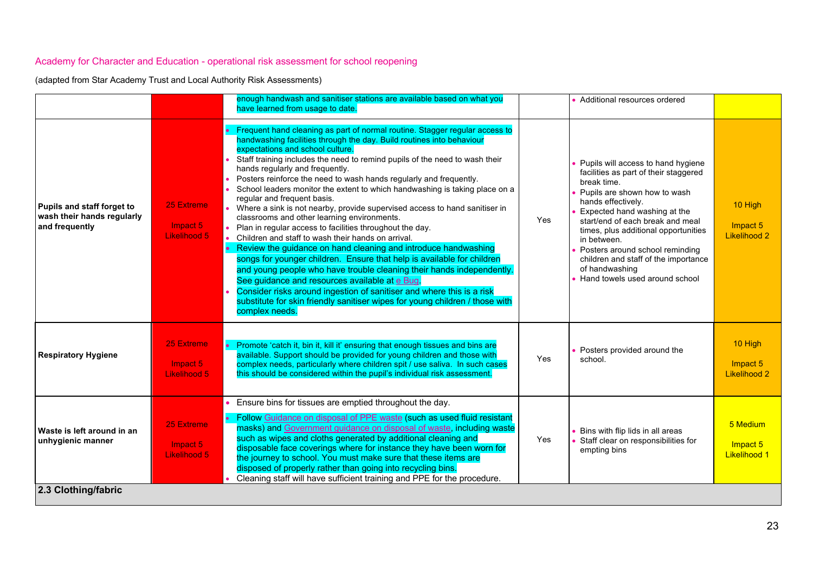|                                                                            |                                        | enough handwash and sanitiser stations are available based on what you<br>have learned from usage to date.                                                                                                                                                                                                                                                                                                                                                                                                                                                                                                                                                                                                                                                                                                                                                                                                                                                                                                                                                                                                                                                                                          |            | Additional resources ordered                                                                                                                                                                                                                                                                                                                                                                               |                                             |
|----------------------------------------------------------------------------|----------------------------------------|-----------------------------------------------------------------------------------------------------------------------------------------------------------------------------------------------------------------------------------------------------------------------------------------------------------------------------------------------------------------------------------------------------------------------------------------------------------------------------------------------------------------------------------------------------------------------------------------------------------------------------------------------------------------------------------------------------------------------------------------------------------------------------------------------------------------------------------------------------------------------------------------------------------------------------------------------------------------------------------------------------------------------------------------------------------------------------------------------------------------------------------------------------------------------------------------------------|------------|------------------------------------------------------------------------------------------------------------------------------------------------------------------------------------------------------------------------------------------------------------------------------------------------------------------------------------------------------------------------------------------------------------|---------------------------------------------|
| Pupils and staff forget to<br>wash their hands regularly<br>and frequently | 25 Extreme<br>Impact 5<br>Likelihood 5 | Frequent hand cleaning as part of normal routine. Stagger regular access to<br>handwashing facilities through the day. Build routines into behaviour<br>expectations and school culture.<br>Staff training includes the need to remind pupils of the need to wash their<br>hands regularly and frequently.<br>Posters reinforce the need to wash hands regularly and frequently.<br>School leaders monitor the extent to which handwashing is taking place on a<br>regular and frequent basis.<br>• Where a sink is not nearby, provide supervised access to hand sanitiser in<br>classrooms and other learning environments.<br>Plan in regular access to facilities throughout the day.<br>Children and staff to wash their hands on arrival.<br>• Review the guidance on hand cleaning and introduce handwashing<br>songs for younger children. Ensure that help is available for children<br>and young people who have trouble cleaning their hands independently.<br>See guidance and resources available at e Bug.<br>Consider risks around ingestion of sanitiser and where this is a risk<br>substitute for skin friendly sanitiser wipes for young children / those with<br>complex needs. | <b>Yes</b> | Pupils will access to hand hygiene<br>facilities as part of their staggered<br>break time.<br>Pupils are shown how to wash<br>hands effectively.<br>Expected hand washing at the<br>start/end of each break and meal<br>times, plus additional opportunities<br>in between.<br>Posters around school reminding<br>children and staff of the importance<br>of handwashing<br>Hand towels used around school | 10 High<br>Impact 5<br>Likelihood 2         |
| <b>Respiratory Hygiene</b>                                                 | 25 Extreme<br>Impact 5<br>Likelihood 5 | • Promote 'catch it, bin it, kill it' ensuring that enough tissues and bins are<br>available. Support should be provided for young children and those with<br>complex needs, particularly where children spit / use saliva. In such cases<br>this should be considered within the pupil's individual risk assessment.                                                                                                                                                                                                                                                                                                                                                                                                                                                                                                                                                                                                                                                                                                                                                                                                                                                                               | Yes        | Posters provided around the<br>school.                                                                                                                                                                                                                                                                                                                                                                     | 10 High<br>Impact 5<br><b>Likelihood 2</b>  |
| Waste is left around in an<br>unhygienic manner<br>2.3 Clothing/fabric     | 25 Extreme<br>Impact 5<br>Likelihood 5 | Ensure bins for tissues are emptied throughout the day.<br>Follow Guidance on disposal of PPE waste (such as used fluid resistant<br>masks) and Government guidance on disposal of waste, including waste<br>such as wipes and cloths generated by additional cleaning and<br>disposable face coverings where for instance they have been worn for<br>the journey to school. You must make sure that these items are<br>disposed of properly rather than going into recycling bins.<br>Cleaning staff will have sufficient training and PPE for the procedure.                                                                                                                                                                                                                                                                                                                                                                                                                                                                                                                                                                                                                                      | Yes        | Bins with flip lids in all areas<br>Staff clear on responsibilities for<br>empting bins                                                                                                                                                                                                                                                                                                                    | 5 Medium<br>Impact 5<br><b>Likelihood 1</b> |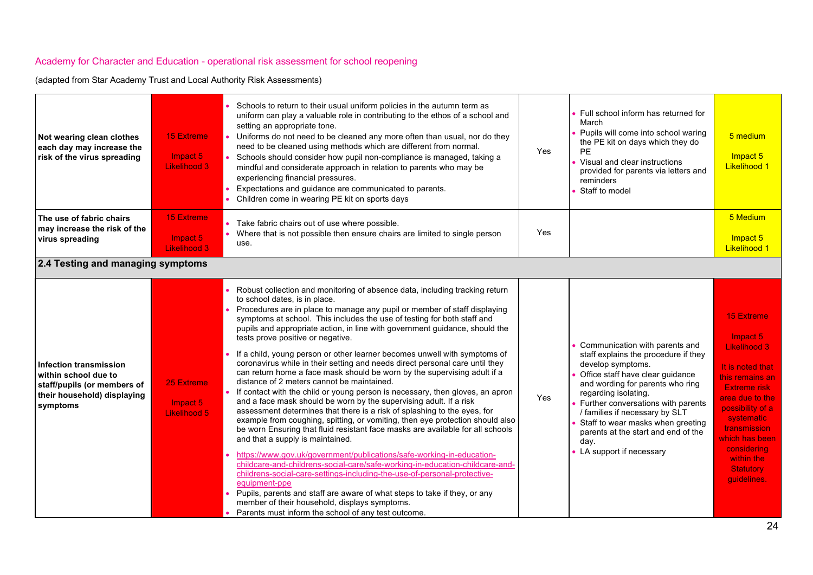| Not wearing clean clothes<br>each day may increase the<br>risk of the virus spreading                                    | <b>15 Extreme</b><br>Impact 5<br><b>Likelihood 3</b> | Schools to return to their usual uniform policies in the autumn term as<br>uniform can play a valuable role in contributing to the ethos of a school and<br>setting an appropriate tone.<br>Uniforms do not need to be cleaned any more often than usual, nor do they<br>need to be cleaned using methods which are different from normal.<br>Schools should consider how pupil non-compliance is managed, taking a<br>mindful and considerate approach in relation to parents who may be<br>experiencing financial pressures.<br>Expectations and guidance are communicated to parents.<br>Children come in wearing PE kit on sports days                                                                                                                                                                                                                                                                                                                                                                                                                                                                                                                                                                                                                                                                                                                                                                                                                                                                                                                           | <b>Yes</b> | Full school inform has returned for<br>March<br>Pupils will come into school waring<br>the PE kit on days which they do<br><b>PE</b><br>Visual and clear instructions<br>provided for parents via letters and<br>reminders<br>Staff to model                                                                                                                                       | 5 medium<br>Impact 5<br><b>Likelihood 1</b>                                                                                                                                                                                                                                      |
|--------------------------------------------------------------------------------------------------------------------------|------------------------------------------------------|----------------------------------------------------------------------------------------------------------------------------------------------------------------------------------------------------------------------------------------------------------------------------------------------------------------------------------------------------------------------------------------------------------------------------------------------------------------------------------------------------------------------------------------------------------------------------------------------------------------------------------------------------------------------------------------------------------------------------------------------------------------------------------------------------------------------------------------------------------------------------------------------------------------------------------------------------------------------------------------------------------------------------------------------------------------------------------------------------------------------------------------------------------------------------------------------------------------------------------------------------------------------------------------------------------------------------------------------------------------------------------------------------------------------------------------------------------------------------------------------------------------------------------------------------------------------|------------|------------------------------------------------------------------------------------------------------------------------------------------------------------------------------------------------------------------------------------------------------------------------------------------------------------------------------------------------------------------------------------|----------------------------------------------------------------------------------------------------------------------------------------------------------------------------------------------------------------------------------------------------------------------------------|
| The use of fabric chairs<br>may increase the risk of the<br>virus spreading                                              | 15 Extreme<br>Impact 5<br>Likelihood 3               | Take fabric chairs out of use where possible.<br>• Where that is not possible then ensure chairs are limited to single person<br>use.                                                                                                                                                                                                                                                                                                                                                                                                                                                                                                                                                                                                                                                                                                                                                                                                                                                                                                                                                                                                                                                                                                                                                                                                                                                                                                                                                                                                                                | Yes        |                                                                                                                                                                                                                                                                                                                                                                                    | 5 Medium<br>Impact 5<br><b>Likelihood 1</b>                                                                                                                                                                                                                                      |
| 2.4 Testing and managing symptoms                                                                                        |                                                      |                                                                                                                                                                                                                                                                                                                                                                                                                                                                                                                                                                                                                                                                                                                                                                                                                                                                                                                                                                                                                                                                                                                                                                                                                                                                                                                                                                                                                                                                                                                                                                      |            |                                                                                                                                                                                                                                                                                                                                                                                    |                                                                                                                                                                                                                                                                                  |
| Infection transmission<br>within school due to<br>staff/pupils (or members of<br>their household) displaying<br>symptoms | 25 Extreme<br>Impact 5<br><b>Likelihood 5</b>        | Robust collection and monitoring of absence data, including tracking return<br>to school dates, is in place.<br>Procedures are in place to manage any pupil or member of staff displaying<br>symptoms at school. This includes the use of testing for both staff and<br>pupils and appropriate action, in line with government guidance, should the<br>tests prove positive or negative.<br>If a child, young person or other learner becomes unwell with symptoms of<br>coronavirus while in their setting and needs direct personal care until they<br>can return home a face mask should be worn by the supervising adult if a<br>distance of 2 meters cannot be maintained.<br>If contact with the child or young person is necessary, then gloves, an apron<br>and a face mask should be worn by the supervising adult. If a risk<br>assessment determines that there is a risk of splashing to the eyes, for<br>example from coughing, spitting, or vomiting, then eye protection should also<br>be worn Ensuring that fluid resistant face masks are available for all schools<br>and that a supply is maintained.<br>https://www.gov.uk/government/publications/safe-working-in-education-<br>childcare-and-childrens-social-care/safe-working-in-education-childcare-and-<br>childrens-social-care-settings-including-the-use-of-personal-protective-<br>equipment-ppe<br>Pupils, parents and staff are aware of what steps to take if they, or any<br>member of their household, displays symptoms.<br>Parents must inform the school of any test outcome. | <b>Yes</b> | Communication with parents and<br>staff explains the procedure if they<br>develop symptoms.<br>Office staff have clear guidance<br>and wording for parents who ring<br>regarding isolating.<br>Further conversations with parents<br>/ families if necessary by SLT<br>Staff to wear masks when greeting<br>parents at the start and end of the<br>day.<br>LA support if necessary | <b>15 Extreme</b><br>Impact 5<br><b>Likelihood 3</b><br>It is noted that<br>this remains an<br><b>Extreme risk</b><br>area due to the<br>possibility of a<br>systematic<br><b>transmission</b><br>which has been<br>considering<br>within the<br><b>Statutory</b><br>guidelines. |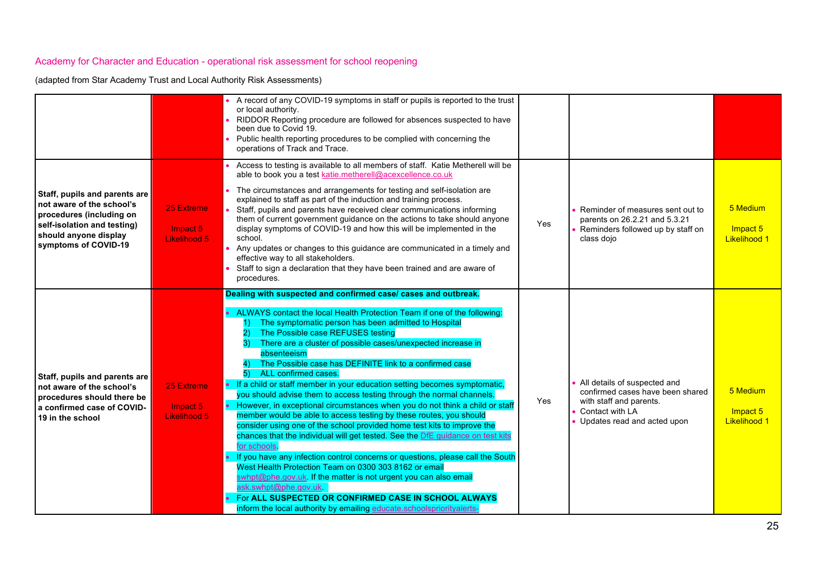|                                                                                                                                                                        |                                               | A record of any COVID-19 symptoms in staff or pupils is reported to the trust<br>or local authority.<br>RIDDOR Reporting procedure are followed for absences suspected to have<br>been due to Covid 19.<br>Public health reporting procedures to be complied with concerning the<br>operations of Track and Trace.                                                                                                                                                                                                                                                                                                                                                                                                                                                                                                                                                                                                                                                                                                                                                                                                                                                                                                                                                                   |     |                                                                                                                                                   |                                             |
|------------------------------------------------------------------------------------------------------------------------------------------------------------------------|-----------------------------------------------|--------------------------------------------------------------------------------------------------------------------------------------------------------------------------------------------------------------------------------------------------------------------------------------------------------------------------------------------------------------------------------------------------------------------------------------------------------------------------------------------------------------------------------------------------------------------------------------------------------------------------------------------------------------------------------------------------------------------------------------------------------------------------------------------------------------------------------------------------------------------------------------------------------------------------------------------------------------------------------------------------------------------------------------------------------------------------------------------------------------------------------------------------------------------------------------------------------------------------------------------------------------------------------------|-----|---------------------------------------------------------------------------------------------------------------------------------------------------|---------------------------------------------|
| Staff, pupils and parents are<br>not aware of the school's<br>procedures (including on<br>self-isolation and testing)<br>should anyone display<br>symptoms of COVID-19 | 25 Extreme<br>Impact 5<br><b>Likelihood 5</b> | Access to testing is available to all members of staff. Katie Metherell will be<br>able to book you a test katie.metherell@acexcellence.co.uk<br>The circumstances and arrangements for testing and self-isolation are<br>explained to staff as part of the induction and training process.<br>Staff, pupils and parents have received clear communications informing<br>them of current government guidance on the actions to take should anyone<br>display symptoms of COVID-19 and how this will be implemented in the<br>school.<br>Any updates or changes to this guidance are communicated in a timely and<br>effective way to all stakeholders.<br>Staff to sign a declaration that they have been trained and are aware of<br>procedures.                                                                                                                                                                                                                                                                                                                                                                                                                                                                                                                                    | Yes | Reminder of measures sent out to<br>parents on 26.2.21 and 5.3.21<br>Reminders followed up by staff on<br>class dojo                              | 5 Medium<br>Impact 5<br><b>Likelihood 1</b> |
| Staff, pupils and parents are<br>not aware of the school's<br>procedures should there be<br>a confirmed case of COVID-<br>19 in the school                             | <b>25 Extreme</b><br>Impact 5<br>Likelihood 5 | Dealing with suspected and confirmed case/ cases and outbreak.<br>• ALWAYS contact the local Health Protection Team if one of the following:<br>The symptomatic person has been admitted to Hospital<br>The Possible case REFUSES testing<br>There are a cluster of possible cases/unexpected increase in<br>3)<br>absenteeism<br>The Possible case has DEFINITE link to a confirmed case<br>ALL confirmed cases.<br>• If a child or staff member in your education setting becomes symptomatic,<br>you should advise them to access testing through the normal channels.<br>However, in exceptional circumstances when you do not think a child or staff<br>member would be able to access testing by these routes, you should<br>consider using one of the school provided home test kits to improve the<br>chances that the individual will get tested. See the DfE guidance on test kits<br>for schools.<br>If you have any infection control concerns or questions, please call the South<br>West Health Protection Team on 0300 303 8162 or email<br>swhpt@phe.gov.uk. If the matter is not urgent you can also email<br>ask.swhpt@phe.gov.uk<br>For ALL SUSPECTED OR CONFIRMED CASE IN SCHOOL ALWAYS<br>inform the local authority by emailing educate.schoolspriorityalerts- | Yes | All details of suspected and<br>confirmed cases have been shared<br>with staff and parents.<br>• Contact with LA<br>• Updates read and acted upon | 5 Medium<br>Impact 5<br><b>Likelihood 1</b> |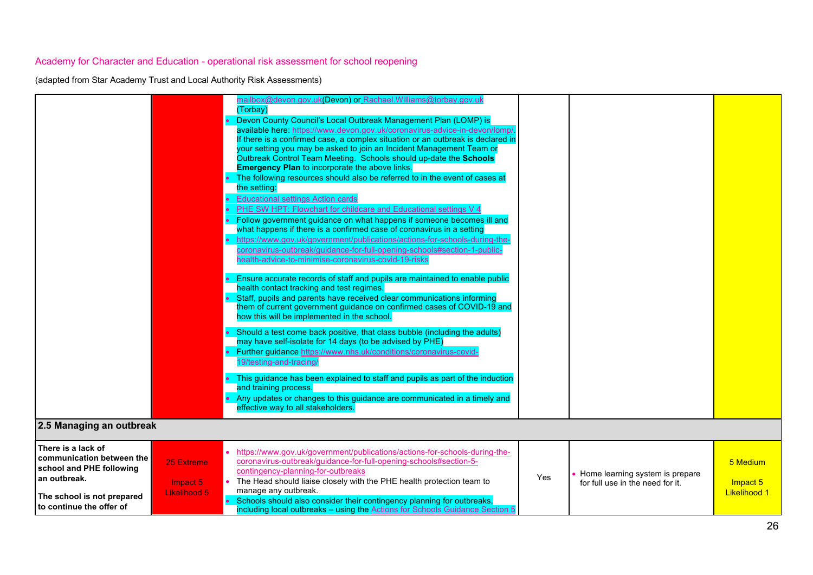|                                                                                                                                                                                                        | mailbox@devon.gov.uk(Devon) or Rachael.Williams@torbay.gov.uk<br>(Torbay)<br>Devon County Council's Local Outbreak Management Plan (LOMP) is<br>available here: https://www.devon.gov.uk/coronavirus-advice-in-devon/lomp/<br>If there is a confirmed case, a complex situation or an outbreak is declared in<br>your setting you may be asked to join an Incident Management Team or<br>Outbreak Control Team Meeting. Schools should up-date the Schools<br><b>Emergency Plan to incorporate the above links.</b><br>The following resources should also be referred to in the event of cases at<br>the setting:<br><b>Educational settings Action cards</b><br><b>PHE SW HPT: Flowchart for childcare and Educational settings V 4</b><br>• Follow government guidance on what happens if someone becomes ill and<br>what happens if there is a confirmed case of coronavirus in a setting<br>https://www.gov.uk/government/publications/actions-for-schools-during-the-<br>coronavirus-outbreak/guidance-for-full-opening-schools#section-1-public-<br>health-advice-to-minimise-coronavirus-covid-19-risks<br>Ensure accurate records of staff and pupils are maintained to enable public<br>health contact tracking and test regimes.<br>Staff, pupils and parents have received clear communications informing<br>them of current government guidance on confirmed cases of COVID-19 and<br>how this will be implemented in the school.<br>Should a test come back positive, that class bubble (including the adults)<br>may have self-isolate for 14 days (to be advised by PHE)<br>• Further guidance https://www.nhs.uk/conditions/coronavirus-covid-<br>19/testing-and-tracing/<br>This guidance has been explained to staff and pupils as part of the induction<br>and training process.<br>• Any updates or changes to this guidance are communicated in a timely and<br>effective way to all stakeholders. |                                             |
|--------------------------------------------------------------------------------------------------------------------------------------------------------------------------------------------------------|--------------------------------------------------------------------------------------------------------------------------------------------------------------------------------------------------------------------------------------------------------------------------------------------------------------------------------------------------------------------------------------------------------------------------------------------------------------------------------------------------------------------------------------------------------------------------------------------------------------------------------------------------------------------------------------------------------------------------------------------------------------------------------------------------------------------------------------------------------------------------------------------------------------------------------------------------------------------------------------------------------------------------------------------------------------------------------------------------------------------------------------------------------------------------------------------------------------------------------------------------------------------------------------------------------------------------------------------------------------------------------------------------------------------------------------------------------------------------------------------------------------------------------------------------------------------------------------------------------------------------------------------------------------------------------------------------------------------------------------------------------------------------------------------------------------------------------------------------------------------------------------------------------------------------|---------------------------------------------|
| 2.5 Managing an outbreak                                                                                                                                                                               |                                                                                                                                                                                                                                                                                                                                                                                                                                                                                                                                                                                                                                                                                                                                                                                                                                                                                                                                                                                                                                                                                                                                                                                                                                                                                                                                                                                                                                                                                                                                                                                                                                                                                                                                                                                                                                                                                                                          |                                             |
| There is a lack of<br>communication between the<br>25 Extreme<br>school and PHE following<br>an outbreak.<br>Impact 5<br><b>Likelihood 5</b><br>The school is not prepared<br>to continue the offer of | https://www.gov.uk/government/publications/actions-for-schools-during-the-<br>coronavirus-outbreak/guidance-for-full-opening-schools#section-5-<br>contingency-planning-for-outbreaks<br>Home learning system is prepare<br>Yes<br>The Head should liaise closely with the PHE health protection team to<br>for full use in the need for it.<br>manage any outbreak.<br>• Schools should also consider their contingency planning for outbreaks,<br>including local outbreaks - using the Actions for Schools Guidance Section 5                                                                                                                                                                                                                                                                                                                                                                                                                                                                                                                                                                                                                                                                                                                                                                                                                                                                                                                                                                                                                                                                                                                                                                                                                                                                                                                                                                                         | 5 Medium<br>Impact 5<br><b>Likelihood 1</b> |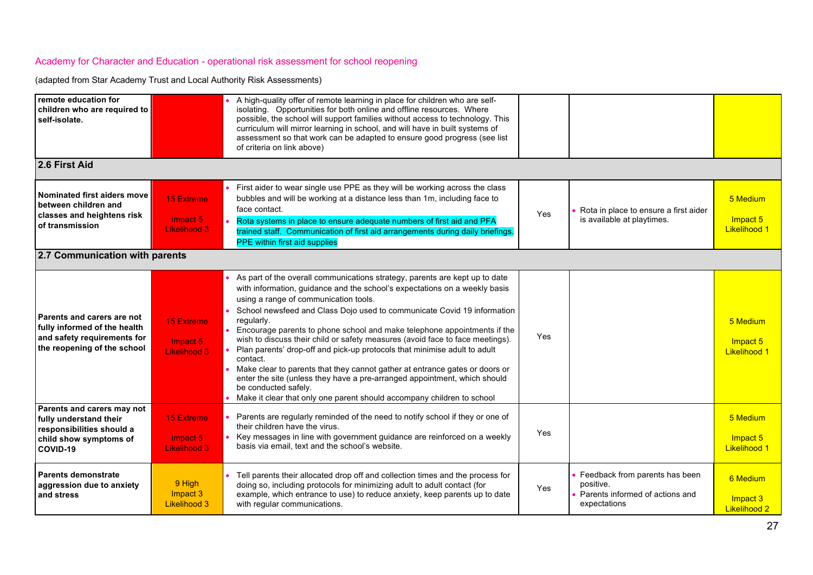| remote education for<br>children who are required to<br>self-isolate.                                                    |                                                      | A high-quality offer of remote learning in place for children who are self-<br>isolating. Opportunities for both online and offline resources. Where<br>possible, the school will support families without access to technology. This<br>curriculum will mirror learning in school, and will have in built systems of<br>assessment so that work can be adapted to ensure good progress (see list<br>of criteria on link above)                                                                                                                                                                                                                                                                                                                                                                                 |     |                                                                                                |                                             |
|--------------------------------------------------------------------------------------------------------------------------|------------------------------------------------------|-----------------------------------------------------------------------------------------------------------------------------------------------------------------------------------------------------------------------------------------------------------------------------------------------------------------------------------------------------------------------------------------------------------------------------------------------------------------------------------------------------------------------------------------------------------------------------------------------------------------------------------------------------------------------------------------------------------------------------------------------------------------------------------------------------------------|-----|------------------------------------------------------------------------------------------------|---------------------------------------------|
| 2.6 First Aid                                                                                                            |                                                      |                                                                                                                                                                                                                                                                                                                                                                                                                                                                                                                                                                                                                                                                                                                                                                                                                 |     |                                                                                                |                                             |
| Nominated first aiders move<br>between children and<br>classes and heightens risk<br>of transmission                     | <b>15 Extreme</b><br>Impact 5<br>Likelihood 3        | First aider to wear single use PPE as they will be working across the class<br>bubbles and will be working at a distance less than 1m, including face to<br>face contact.<br>Rota systems in place to ensure adequate numbers of first aid and PFA<br>trained staff. Communication of first aid arrangements during daily briefings.<br>PPE within first aid supplies                                                                                                                                                                                                                                                                                                                                                                                                                                           | Yes | Rota in place to ensure a first aider<br>is available at playtimes.                            | 5 Medium<br>Impact 5<br><b>Likelihood 1</b> |
| 2.7 Communication with parents                                                                                           |                                                      |                                                                                                                                                                                                                                                                                                                                                                                                                                                                                                                                                                                                                                                                                                                                                                                                                 |     |                                                                                                |                                             |
| Parents and carers are not<br>fully informed of the health<br>and safety requirements for<br>the reopening of the school | <b>15 Extreme</b><br>Impact 5<br><b>Likelihood 3</b> | As part of the overall communications strategy, parents are kept up to date<br>with information, guidance and the school's expectations on a weekly basis<br>using a range of communication tools.<br>School newsfeed and Class Dojo used to communicate Covid 19 information<br>regularly.<br>Encourage parents to phone school and make telephone appointments if the<br>wish to discuss their child or safety measures (avoid face to face meetings).<br>Plan parents' drop-off and pick-up protocols that minimise adult to adult<br>contact.<br>Make clear to parents that they cannot gather at entrance gates or doors or<br>enter the site (unless they have a pre-arranged appointment, which should<br>be conducted safely.<br>Make it clear that only one parent should accompany children to school | Yes |                                                                                                | 5 Medium<br>Impact 5<br><b>Likelihood 1</b> |
| Parents and carers may not<br>fully understand their<br>responsibilities should a<br>child show symptoms of<br>COVID-19  | <b>15 Extreme</b><br>Impact 5<br>Likelihood 3        | Parents are regularly reminded of the need to notify school if they or one of<br>their children have the virus.<br>Key messages in line with government guidance are reinforced on a weekly<br>basis via email, text and the school's website.                                                                                                                                                                                                                                                                                                                                                                                                                                                                                                                                                                  | Yes |                                                                                                | 5 Medium<br>Impact 5<br><b>Likelihood 1</b> |
| Parents demonstrate<br>aggression due to anxiety<br>and stress                                                           | 9 High<br>Impact 3<br><b>Likelihood 3</b>            | Tell parents their allocated drop off and collection times and the process for<br>doing so, including protocols for minimizing adult to adult contact (for<br>example, which entrance to use) to reduce anxiety, keep parents up to date<br>with regular communications.                                                                                                                                                                                                                                                                                                                                                                                                                                                                                                                                        | Yes | Feedback from parents has been<br>positive.<br>Parents informed of actions and<br>expectations | 6 Medium<br>Impact 3<br><b>Likelihood 2</b> |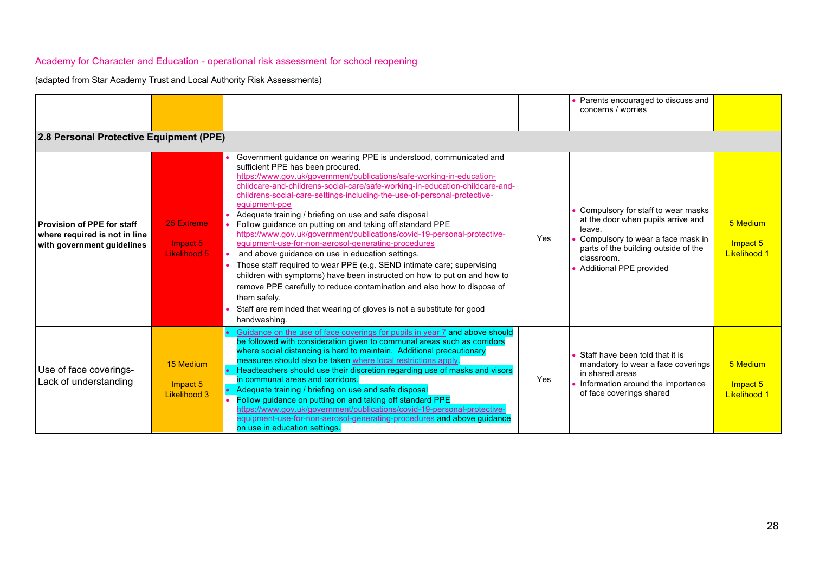|                                                                                           |                                        |                                                                                                                                                                                                                                                                                                                                                                                                                                                                                                                                                                                                                                                                                                                                                                                                                                                                                                                                                                                                                       |     | Parents encouraged to discuss and<br>concerns / worries                                                                                                                                                         |                                             |
|-------------------------------------------------------------------------------------------|----------------------------------------|-----------------------------------------------------------------------------------------------------------------------------------------------------------------------------------------------------------------------------------------------------------------------------------------------------------------------------------------------------------------------------------------------------------------------------------------------------------------------------------------------------------------------------------------------------------------------------------------------------------------------------------------------------------------------------------------------------------------------------------------------------------------------------------------------------------------------------------------------------------------------------------------------------------------------------------------------------------------------------------------------------------------------|-----|-----------------------------------------------------------------------------------------------------------------------------------------------------------------------------------------------------------------|---------------------------------------------|
| 2.8 Personal Protective Equipment (PPE)                                                   |                                        |                                                                                                                                                                                                                                                                                                                                                                                                                                                                                                                                                                                                                                                                                                                                                                                                                                                                                                                                                                                                                       |     |                                                                                                                                                                                                                 |                                             |
| Provision of PPE for staff<br>where required is not in line<br>with government quidelines | 25 Extreme<br>Impact 5<br>Likelihood 5 | Government guidance on wearing PPE is understood, communicated and<br>sufficient PPE has been procured.<br>https://www.gov.uk/government/publications/safe-working-in-education-<br>childcare-and-childrens-social-care/safe-working-in-education-childcare-and-<br>childrens-social-care-settings-including-the-use-of-personal-protective-<br>equipment-ppe<br>Adequate training / briefing on use and safe disposal<br>Follow guidance on putting on and taking off standard PPE<br>https://www.gov.uk/government/publications/covid-19-personal-protective-<br>equipment-use-for-non-aerosol-generating-procedures<br>and above guidance on use in education settings.<br>Those staff required to wear PPE (e.g. SEND intimate care; supervising<br>children with symptoms) have been instructed on how to put on and how to<br>remove PPE carefully to reduce contamination and also how to dispose of<br>them safely.<br>Staff are reminded that wearing of gloves is not a substitute for good<br>handwashing. | Yes | Compulsory for staff to wear masks<br>at the door when pupils arrive and<br>leave.<br>Compulsory to wear a face mask in<br>parts of the building outside of the<br>classroom.<br><b>Additional PPE provided</b> | 5 Medium<br>Impact 5<br><b>Likelihood 1</b> |
| Use of face coverings-<br>Lack of understanding                                           | 15 Medium<br>Impact 5<br>Likelihood 3  | Guidance on the use of face coverings for pupils in year 7 and above should<br>be followed with consideration given to communal areas such as corridors<br>where social distancing is hard to maintain. Additional precautionary<br>measures should also be taken where local restrictions apply.<br>• Headteachers should use their discretion regarding use of masks and visors<br>in communal areas and corridors.<br>• Adequate training / briefing on use and safe disposal<br>Follow guidance on putting on and taking off standard PPE<br>-ttps://www.gov.uk/government/publications/covid-19-personal-protective<br>equipment-use-for-non-aerosol-generating-procedures and above guidance<br>on use in education settings.                                                                                                                                                                                                                                                                                   | Yes | Staff have been told that it is<br>mandatory to wear a face coverings<br>in shared areas<br>Information around the importance<br>of face coverings shared                                                       | 5 Medium<br>Impact 5<br><b>Likelihood 1</b> |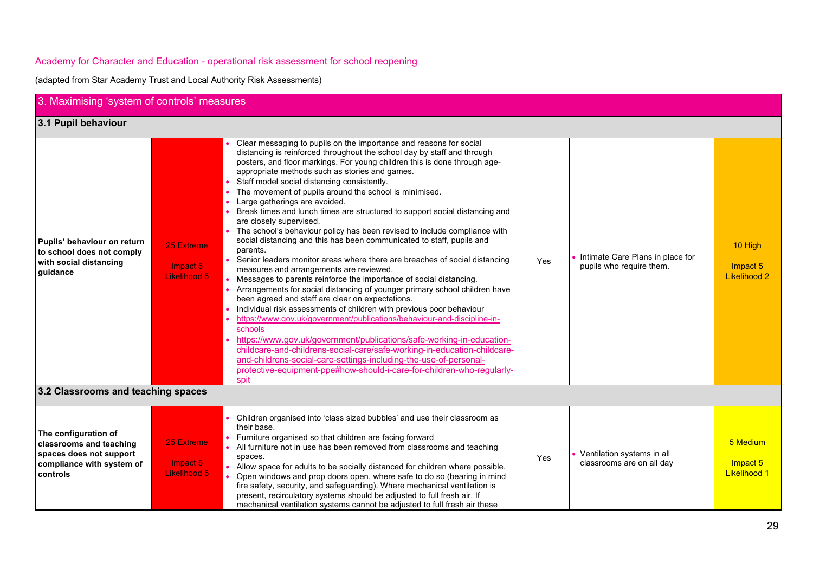| 3. Maximising 'system of controls' measures                                                                         |                                               |                                                                                                                                                                                                                                                                                                                                                                                                                                                                                                                                                                                                                                                                                                                                                                                                                                                                                                                                                                                                                                                                                                                                                                                                                                                                                                                                                                                                                                                                                                                                         |     |                                                                |                                             |
|---------------------------------------------------------------------------------------------------------------------|-----------------------------------------------|-----------------------------------------------------------------------------------------------------------------------------------------------------------------------------------------------------------------------------------------------------------------------------------------------------------------------------------------------------------------------------------------------------------------------------------------------------------------------------------------------------------------------------------------------------------------------------------------------------------------------------------------------------------------------------------------------------------------------------------------------------------------------------------------------------------------------------------------------------------------------------------------------------------------------------------------------------------------------------------------------------------------------------------------------------------------------------------------------------------------------------------------------------------------------------------------------------------------------------------------------------------------------------------------------------------------------------------------------------------------------------------------------------------------------------------------------------------------------------------------------------------------------------------------|-----|----------------------------------------------------------------|---------------------------------------------|
| 3.1 Pupil behaviour                                                                                                 |                                               |                                                                                                                                                                                                                                                                                                                                                                                                                                                                                                                                                                                                                                                                                                                                                                                                                                                                                                                                                                                                                                                                                                                                                                                                                                                                                                                                                                                                                                                                                                                                         |     |                                                                |                                             |
| Pupils' behaviour on return<br>to school does not comply<br>with social distancing<br>quidance                      | 25 Extreme<br>Impact 5<br><b>Likelihood 5</b> | Clear messaging to pupils on the importance and reasons for social<br>distancing is reinforced throughout the school day by staff and through<br>posters, and floor markings. For young children this is done through age-<br>appropriate methods such as stories and games.<br>Staff model social distancing consistently.<br>The movement of pupils around the school is minimised.<br>Large gatherings are avoided.<br>$\bullet$<br>Break times and lunch times are structured to support social distancing and<br>are closely supervised.<br>The school's behaviour policy has been revised to include compliance with<br>social distancing and this has been communicated to staff, pupils and<br>parents.<br>Senior leaders monitor areas where there are breaches of social distancing<br>measures and arrangements are reviewed.<br>Messages to parents reinforce the importance of social distancing.<br>$\bullet$<br>Arrangements for social distancing of younger primary school children have<br>been agreed and staff are clear on expectations.<br>Individual risk assessments of children with previous poor behaviour<br>https://www.gov.uk/government/publications/behaviour-and-discipline-in-<br>schools<br>https://www.gov.uk/government/publications/safe-working-in-education-<br>childcare-and-childrens-social-care/safe-working-in-education-childcare-<br>and-childrens-social-care-settings-including-the-use-of-personal-<br>protective-equipment-ppe#how-should-i-care-for-children-who-regularly-<br>spit | Yes | • Intimate Care Plans in place for<br>pupils who require them. | 10 High<br>Impact 5<br><b>Likelihood 2</b>  |
| 3.2 Classrooms and teaching spaces                                                                                  |                                               |                                                                                                                                                                                                                                                                                                                                                                                                                                                                                                                                                                                                                                                                                                                                                                                                                                                                                                                                                                                                                                                                                                                                                                                                                                                                                                                                                                                                                                                                                                                                         |     |                                                                |                                             |
| The configuration of<br>classrooms and teaching<br>spaces does not support<br>compliance with system of<br>controls | 25 Extreme<br>Impact 5<br><b>Likelihood 5</b> | Children organised into 'class sized bubbles' and use their classroom as<br>their base.<br>Furniture organised so that children are facing forward<br>All furniture not in use has been removed from classrooms and teaching<br>spaces.<br>Allow space for adults to be socially distanced for children where possible.<br>Open windows and prop doors open, where safe to do so (bearing in mind<br>fire safety, security, and safeguarding). Where mechanical ventilation is<br>present, recirculatory systems should be adjusted to full fresh air. If<br>mechanical ventilation systems cannot be adjusted to full fresh air these                                                                                                                                                                                                                                                                                                                                                                                                                                                                                                                                                                                                                                                                                                                                                                                                                                                                                                  | Yes | • Ventilation systems in all<br>classrooms are on all day      | 5 Medium<br>Impact 5<br><b>Likelihood 1</b> |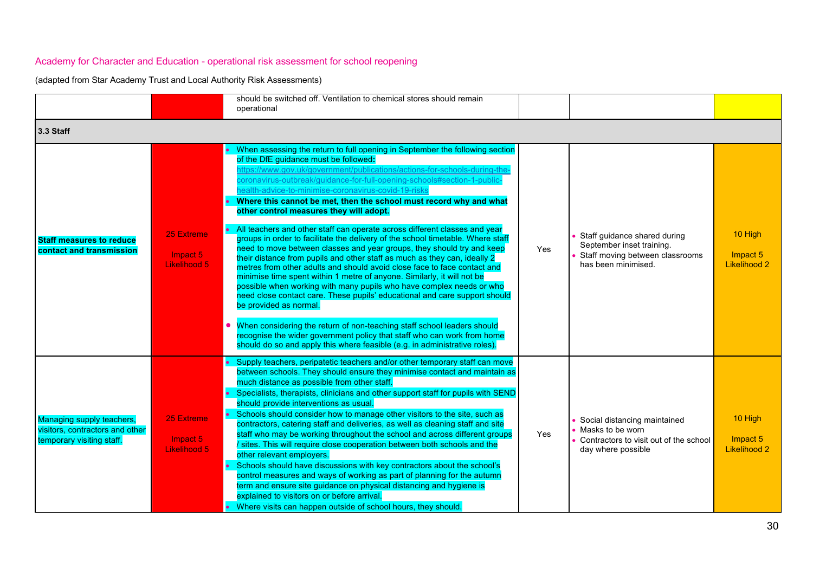|                                                                                           |                                        | should be switched off. Ventilation to chemical stores should remain<br>operational                                                                                                                                                                                                                                                                                                                                                                                                                                                                                                                                                                                                                                                                                                                                                                                                                                                                                                                                                                                                                                                                                                                                                                                                                                                                     |            |                                                                                                                     |                                            |
|-------------------------------------------------------------------------------------------|----------------------------------------|---------------------------------------------------------------------------------------------------------------------------------------------------------------------------------------------------------------------------------------------------------------------------------------------------------------------------------------------------------------------------------------------------------------------------------------------------------------------------------------------------------------------------------------------------------------------------------------------------------------------------------------------------------------------------------------------------------------------------------------------------------------------------------------------------------------------------------------------------------------------------------------------------------------------------------------------------------------------------------------------------------------------------------------------------------------------------------------------------------------------------------------------------------------------------------------------------------------------------------------------------------------------------------------------------------------------------------------------------------|------------|---------------------------------------------------------------------------------------------------------------------|--------------------------------------------|
| 3.3 Staff                                                                                 |                                        |                                                                                                                                                                                                                                                                                                                                                                                                                                                                                                                                                                                                                                                                                                                                                                                                                                                                                                                                                                                                                                                                                                                                                                                                                                                                                                                                                         |            |                                                                                                                     |                                            |
| <b>Staff measures to reduce</b><br>contact and transmission                               | 25 Extreme<br>Impact 5<br>Likelihood 5 | When assessing the return to full opening in September the following section<br>of the DfE guidance must be followed:<br>ttps://www.gov.uk/government/publications/actions-for-schools-during-the<br>coronavirus-outbreak/guidance-for-full-opening-schools#section-1-public<br>ealth-advice-to-minimise-coronavirus-covid-19-risks<br>Where this cannot be met, then the school must record why and what<br>other control measures they will adopt.<br>All teachers and other staff can operate across different classes and year<br>groups in order to facilitate the delivery of the school timetable. Where staff<br>need to move between classes and year groups, they should try and keep<br>their distance from pupils and other staff as much as they can, ideally 2<br>metres from other adults and should avoid close face to face contact and<br>minimise time spent within 1 metre of anyone. Similarly, it will not be<br>possible when working with many pupils who have complex needs or who<br>need close contact care. These pupils' educational and care support should<br>be provided as normal.<br>When considering the return of non-teaching staff school leaders should<br>recognise the wider government policy that staff who can work from home<br>should do so and apply this where feasible (e.g. in administrative roles). | <b>Yes</b> | Staff guidance shared during<br>September inset training.<br>Staff moving between classrooms<br>has been minimised. | 10 High<br>Impact 5<br><b>Likelihood 2</b> |
| Managing supply teachers,<br>visitors, contractors and other<br>temporary visiting staff. | 25 Extreme<br>Impact 5<br>Likelihood 5 | Supply teachers, peripatetic teachers and/or other temporary staff can move<br>between schools. They should ensure they minimise contact and maintain as<br>much distance as possible from other staff.<br>Specialists, therapists, clinicians and other support staff for pupils with SEND<br>should provide interventions as usual.<br>Schools should consider how to manage other visitors to the site, such as<br>contractors, catering staff and deliveries, as well as cleaning staff and site<br>staff who may be working throughout the school and across different groups<br>sites. This will require close cooperation between both schools and the<br>other relevant employers.<br>Schools should have discussions with key contractors about the school's<br>control measures and ways of working as part of planning for the autumn<br>term and ensure site guidance on physical distancing and hygiene is<br>explained to visitors on or before arrival.<br>Where visits can happen outside of school hours, they should.                                                                                                                                                                                                                                                                                                                 | Yes        | Social distancing maintained<br>Masks to be worn<br>Contractors to visit out of the school<br>day where possible    | 10 High<br>Impact 5<br><b>Likelihood 2</b> |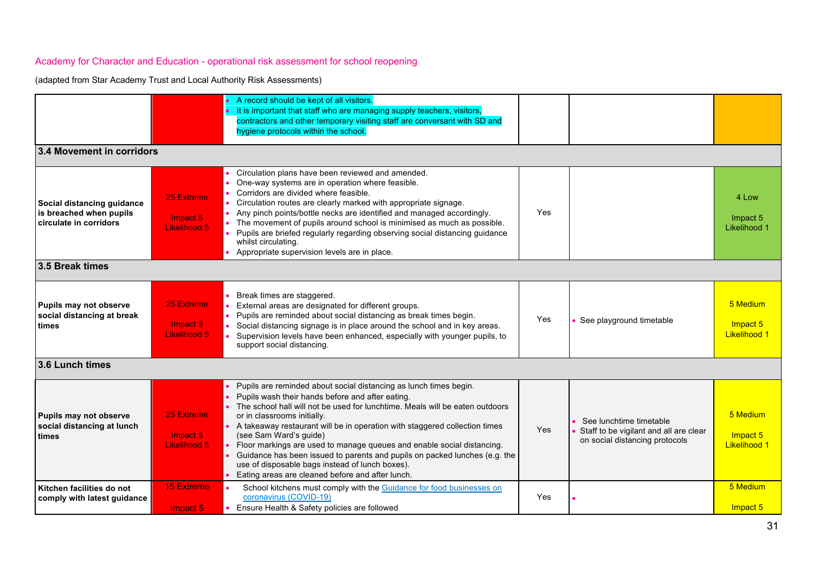|                                                                                 |                                               | • A record should be kept of all visitors.<br>• It is important that staff who are managing supply teachers, visitors,<br>contractors and other temporary visiting staff are conversant with SD and<br>hygiene protocols within the school.                                                                                                                                                                                                                                                                                                                                                                                    |     |                                                                                                     |                                             |
|---------------------------------------------------------------------------------|-----------------------------------------------|--------------------------------------------------------------------------------------------------------------------------------------------------------------------------------------------------------------------------------------------------------------------------------------------------------------------------------------------------------------------------------------------------------------------------------------------------------------------------------------------------------------------------------------------------------------------------------------------------------------------------------|-----|-----------------------------------------------------------------------------------------------------|---------------------------------------------|
| 3.4 Movement in corridors                                                       |                                               |                                                                                                                                                                                                                                                                                                                                                                                                                                                                                                                                                                                                                                |     |                                                                                                     |                                             |
| Social distancing guidance<br>is breached when pupils<br>circulate in corridors | 25 Extreme<br>Impact 5<br>Likelihood 5        | Circulation plans have been reviewed and amended.<br>One-way systems are in operation where feasible.<br>Corridors are divided where feasible.<br>Circulation routes are clearly marked with appropriate signage.<br>Any pinch points/bottle necks are identified and managed accordingly.<br>The movement of pupils around school is minimised as much as possible.<br>• Pupils are briefed regularly regarding observing social distancing guidance<br>whilst circulating.<br>Appropriate supervision levels are in place.                                                                                                   | Yes |                                                                                                     | 4 Low<br>Impact 5<br>Likelihood 1           |
| 3.5 Break times                                                                 |                                               |                                                                                                                                                                                                                                                                                                                                                                                                                                                                                                                                                                                                                                |     |                                                                                                     |                                             |
| Pupils may not observe<br>social distancing at break<br>times                   | 25 Extreme<br>Impact 5<br>Likelihood 5        | Break times are staggered.<br>External areas are designated for different groups.<br>Pupils are reminded about social distancing as break times begin.<br>Social distancing signage is in place around the school and in key areas.<br>Supervision levels have been enhanced, especially with younger pupils, to<br>support social distancing.                                                                                                                                                                                                                                                                                 | Yes | See playground timetable                                                                            | 5 Medium<br>Impact 5<br><b>Likelihood 1</b> |
| 3.6 Lunch times                                                                 |                                               |                                                                                                                                                                                                                                                                                                                                                                                                                                                                                                                                                                                                                                |     |                                                                                                     |                                             |
| Pupils may not observe<br>social distancing at lunch<br>times                   | 25 Extreme<br>Impact 5<br><b>Likelihood 5</b> | • Pupils are reminded about social distancing as lunch times begin.<br>Pupils wash their hands before and after eating.<br>• The school hall will not be used for lunchtime. Meals will be eaten outdoors<br>or in classrooms initially.<br>• A takeaway restaurant will be in operation with staggered collection times<br>(see Sam Ward's guide)<br>Floor markings are used to manage queues and enable social distancing.<br>$\bullet$<br>Guidance has been issued to parents and pupils on packed lunches (e.g. the<br>use of disposable bags instead of lunch boxes).<br>Eating areas are cleaned before and after lunch. | Yes | See lunchtime timetable<br>Staff to be vigilant and all are clear<br>on social distancing protocols | 5 Medium<br>Impact 5<br><b>Likelihood 1</b> |
| Kitchen facilities do not<br>comply with latest guidance                        | <b>15 Extreme</b><br>Impact 5                 | School kitchens must comply with the Guidance for food businesses on<br>coronavirus (COVID-19)<br>• Ensure Health & Safety policies are followed                                                                                                                                                                                                                                                                                                                                                                                                                                                                               | Yes |                                                                                                     | 5 Medium<br>Impact 5                        |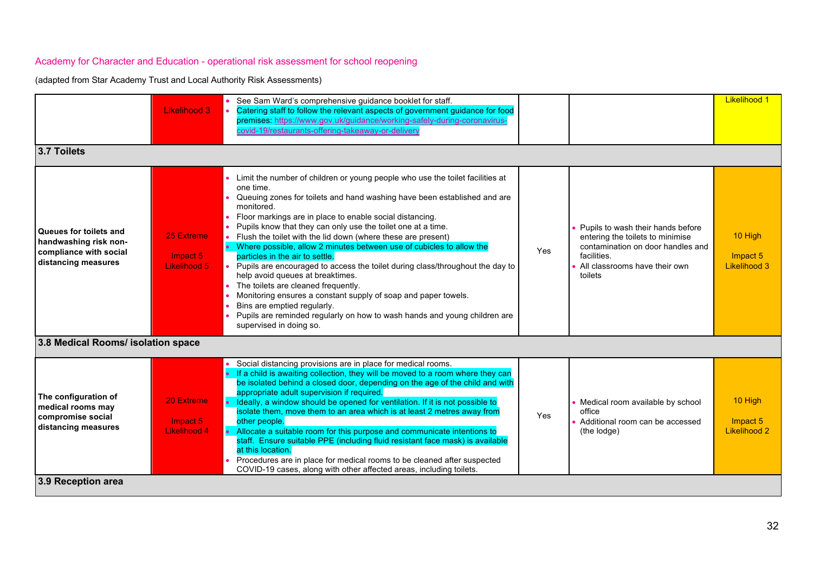|                                                                                                  | <b>Likelihood 3</b>                    | See Sam Ward's comprehensive guidance booklet for staff.<br>Catering staff to follow the relevant aspects of government guidance for food<br>premises https://www.gov.uk/guidance/working-safely-during-coronavirus-<br>covid-19/restaurants-offering-takeaway-or-delivery                                                                                                                                                                                                                                                                                                                                                                                                                                                                                                                                                                                                          |     |                                                                                                                                                                       | <b>Likelihood 1</b>                 |
|--------------------------------------------------------------------------------------------------|----------------------------------------|-------------------------------------------------------------------------------------------------------------------------------------------------------------------------------------------------------------------------------------------------------------------------------------------------------------------------------------------------------------------------------------------------------------------------------------------------------------------------------------------------------------------------------------------------------------------------------------------------------------------------------------------------------------------------------------------------------------------------------------------------------------------------------------------------------------------------------------------------------------------------------------|-----|-----------------------------------------------------------------------------------------------------------------------------------------------------------------------|-------------------------------------|
| 3.7 Toilets                                                                                      |                                        |                                                                                                                                                                                                                                                                                                                                                                                                                                                                                                                                                                                                                                                                                                                                                                                                                                                                                     |     |                                                                                                                                                                       |                                     |
| Queues for toilets and<br>handwashing risk non-<br>compliance with social<br>distancing measures | 25 Extreme<br>Impact 5<br>Likelihood 5 | • Limit the number of children or young people who use the toilet facilities at<br>one time.<br>Queuing zones for toilets and hand washing have been established and are<br>monitored.<br>Floor markings are in place to enable social distancing.<br>$\bullet$<br>Pupils know that they can only use the toilet one at a time.<br>Flush the toilet with the lid down (where these are present)<br>• Where possible, allow 2 minutes between use of cubicles to allow the<br>particles in the air to settle.<br>Pupils are encouraged to access the toilet during class/throughout the day to<br>help avoid queues at breaktimes.<br>• The toilets are cleaned frequently.<br>Monitoring ensures a constant supply of soap and paper towels.<br>Bins are emptied regularly.<br>Pupils are reminded regularly on how to wash hands and young children are<br>supervised in doing so. | Yes | Pupils to wash their hands before<br>entering the toilets to minimise<br>contamination on door handles and<br>facilities.<br>All classrooms have their own<br>toilets | 10 High<br>Impact 5<br>Likelihood 3 |
| 3.8 Medical Rooms/ isolation space                                                               |                                        |                                                                                                                                                                                                                                                                                                                                                                                                                                                                                                                                                                                                                                                                                                                                                                                                                                                                                     |     |                                                                                                                                                                       |                                     |
| The configuration of<br>medical rooms may<br>compromise social<br>distancing measures            | 20 Extreme<br>Impact 5<br>Likelihood 4 | Social distancing provisions are in place for medical rooms.<br>• If a child is awaiting collection, they will be moved to a room where they can<br>be isolated behind a closed door, depending on the age of the child and with<br>appropriate adult supervision if required.<br>• Ideally, a window should be opened for ventilation. If it is not possible to<br>isolate them, move them to an area which is at least 2 metres away from<br>other people.<br>• Allocate a suitable room for this purpose and communicate intentions to<br>staff. Ensure suitable PPE (including fluid resistant face mask) is available<br>at this location.<br>Procedures are in place for medical rooms to be cleaned after suspected<br>COVID-19 cases, along with other affected areas, including toilets.                                                                                   | Yes | Medical room available by school<br>office<br>Additional room can be accessed<br>(the lodge)                                                                          | 10 High<br>Impact 5<br>Likelihood 2 |
| 3.9 Reception area                                                                               |                                        |                                                                                                                                                                                                                                                                                                                                                                                                                                                                                                                                                                                                                                                                                                                                                                                                                                                                                     |     |                                                                                                                                                                       |                                     |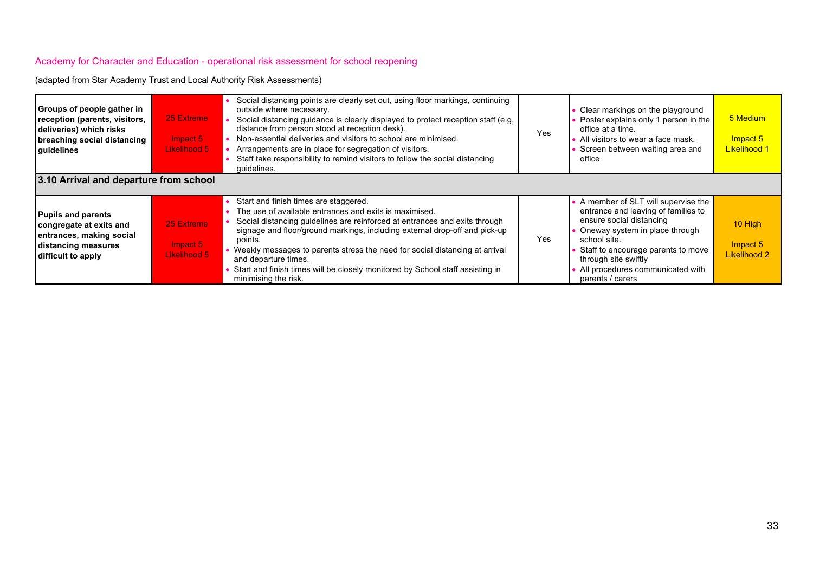| Groups of people gather in<br>reception (parents, visitors,<br>deliveries) which risks<br>breaching social distancing<br>quidelines<br>3.10 Arrival and departure from school | 25 Extreme<br>Impact 5<br>Likelihood 5    | Social distancing points are clearly set out, using floor markings, continuing<br>outside where necessary.<br>Social distancing guidance is clearly displayed to protect reception staff (e.g.<br>distance from person stood at reception desk).<br>Non-essential deliveries and visitors to school are minimised.<br>Arrangements are in place for segregation of visitors.<br>Staff take responsibility to remind visitors to follow the social distancing<br>quidelines.              | Yes | • Clear markings on the playground<br>• Poster explains only 1 person in the<br>office at a time.<br>• All visitors to wear a face mask.<br>Screen between waiting area and<br>office                                                                                             | 5 Medium<br>Impact 5<br><b>Likelihood 1</b> |
|-------------------------------------------------------------------------------------------------------------------------------------------------------------------------------|-------------------------------------------|------------------------------------------------------------------------------------------------------------------------------------------------------------------------------------------------------------------------------------------------------------------------------------------------------------------------------------------------------------------------------------------------------------------------------------------------------------------------------------------|-----|-----------------------------------------------------------------------------------------------------------------------------------------------------------------------------------------------------------------------------------------------------------------------------------|---------------------------------------------|
|                                                                                                                                                                               |                                           |                                                                                                                                                                                                                                                                                                                                                                                                                                                                                          |     |                                                                                                                                                                                                                                                                                   |                                             |
| <b>Pupils and parents</b><br>congregate at exits and<br>entrances, making social<br>distancing measures<br>difficult to apply                                                 | 25 Extreme<br>$Im$ pact 5<br>Likelihood 5 | Start and finish times are staggered.<br>The use of available entrances and exits is maximised.<br>Social distancing quidelines are reinforced at entrances and exits through<br>signage and floor/ground markings, including external drop-off and pick-up<br>points.<br>• Weekly messages to parents stress the need for social distancing at arrival<br>and departure times.<br>Start and finish times will be closely monitored by School staff assisting in<br>minimising the risk. | Yes | • A member of SLT will supervise the<br>entrance and leaving of families to<br>ensure social distancing<br>Oneway system in place through<br>school site.<br>Staff to encourage parents to move<br>through site swiftly<br>• All procedures communicated with<br>parents / carers | 10 High<br>Impact 5<br><b>Likelihood 2</b>  |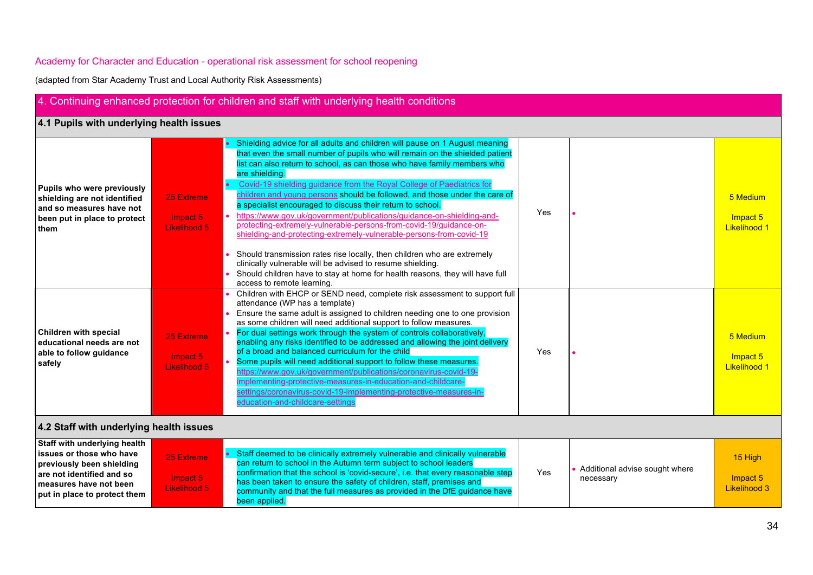|                                                                                                                                                                              |                                               | 4. Continuing enhanced protection for children and staff with underlying health conditions                                                                                                                                                                                                                                                                                                                                                                                                                                                                                                                                                                                                                                                                                                                                                                                                                                                                  |     |                                             |                                             |
|------------------------------------------------------------------------------------------------------------------------------------------------------------------------------|-----------------------------------------------|-------------------------------------------------------------------------------------------------------------------------------------------------------------------------------------------------------------------------------------------------------------------------------------------------------------------------------------------------------------------------------------------------------------------------------------------------------------------------------------------------------------------------------------------------------------------------------------------------------------------------------------------------------------------------------------------------------------------------------------------------------------------------------------------------------------------------------------------------------------------------------------------------------------------------------------------------------------|-----|---------------------------------------------|---------------------------------------------|
| 4.1 Pupils with underlying health issues                                                                                                                                     |                                               |                                                                                                                                                                                                                                                                                                                                                                                                                                                                                                                                                                                                                                                                                                                                                                                                                                                                                                                                                             |     |                                             |                                             |
| Pupils who were previously<br>shielding are not identified<br>and so measures have not<br>been put in place to protect<br>them                                               | 25 Extreme<br>Impact 5<br>Likelihood 5        | Shielding advice for all adults and children will pause on 1 August meaning<br>that even the small number of pupils who will remain on the shielded patient<br>list can also return to school, as can those who have family members who<br>are shielding.<br>Covid-19 shielding guidance from the Royal College of Paediatrics for<br>children and young persons should be followed, and those under the care of<br>a specialist encouraged to discuss their return to school.<br>https://www.gov.uk/government/publications/guidance-on-shielding-and-<br>protecting-extremely-vulnerable-persons-from-covid-19/guidance-on-<br>shielding-and-protecting-extremely-vulnerable-persons-from-covid-19<br>Should transmission rates rise locally, then children who are extremely<br>clinically vulnerable will be advised to resume shielding.<br>Should children have to stay at home for health reasons, they will have full<br>access to remote learning. | Yes |                                             | 5 Medium<br>Impact 5<br><b>Likelihood 1</b> |
| <b>Children with special</b><br>educational needs are not<br>able to follow guidance<br>safely                                                                               | 25 Extreme<br>Impact 5<br><b>Likelihood 5</b> | Children with EHCP or SEND need, complete risk assessment to support full<br>attendance (WP has a template)<br>Ensure the same adult is assigned to children needing one to one provision<br>as some children will need additional support to follow measures.<br>For dual settings work through the system of controls collaboratively,<br>enabling any risks identified to be addressed and allowing the joint delivery<br>of a broad and balanced curriculum for the child<br>Some pupils will need additional support to follow these measures.<br>https://www.gov.uk/government/publications/coronavirus-covid-19-<br>implementing-protective-measures-in-education-and-childcare-<br>settings/coronavirus-covid-19-implementing-protective-measures-in-<br>education-and-childcare-settings                                                                                                                                                           | Yes |                                             | 5 Medium<br>Impact 5<br><b>Likelihood 1</b> |
| 4.2 Staff with underlying health issues                                                                                                                                      |                                               |                                                                                                                                                                                                                                                                                                                                                                                                                                                                                                                                                                                                                                                                                                                                                                                                                                                                                                                                                             |     |                                             |                                             |
| Staff with underlying health<br>issues or those who have<br>previously been shielding<br>are not identified and so<br>measures have not been<br>put in place to protect them | 25 Extreme<br>Impact 5<br>Likelihood 5        | Staff deemed to be clinically extremely vulnerable and clinically vulnerable<br>can return to school in the Autumn term subject to school leaders<br>confirmation that the school is 'covid-secure', i.e. that every reasonable step<br>has been taken to ensure the safety of children, staff, premises and<br>community and that the full measures as provided in the DfE guidance have<br>been applied.                                                                                                                                                                                                                                                                                                                                                                                                                                                                                                                                                  | Yes | Additional advise sought where<br>necessary | 15 High<br>Impact 5<br>Likelihood 3         |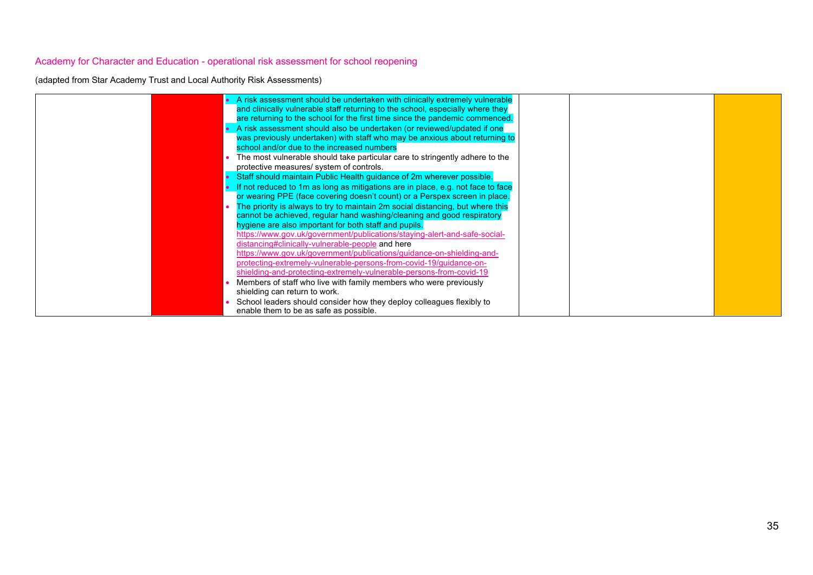| • A risk assessment should be undertaken with clinically extremely vulnerable     |  |  |
|-----------------------------------------------------------------------------------|--|--|
| and clinically vulnerable staff returning to the school, especially where they    |  |  |
| are returning to the school for the first time since the pandemic commenced.      |  |  |
| A risk assessment should also be undertaken (or reviewed/updated if one           |  |  |
| was previously undertaken) with staff who may be anxious about returning to       |  |  |
| school and/or due to the increased numbers                                        |  |  |
| The most vulnerable should take particular care to stringently adhere to the      |  |  |
| protective measures/ system of controls.                                          |  |  |
| Staff should maintain Public Health guidance of 2m wherever possible.             |  |  |
| • If not reduced to 1m as long as mitigations are in place, e.g. not face to face |  |  |
| or wearing PPE (face covering doesn't count) or a Perspex screen in place.        |  |  |
| The priority is always to try to maintain 2m social distancing, but where this    |  |  |
| cannot be achieved, regular hand washing/cleaning and good respiratory            |  |  |
| hygiene are also important for both staff and pupils.                             |  |  |
| https://www.gov.uk/government/publications/staying-alert-and-safe-social-         |  |  |
| distancing#clinically-vulnerable-people and here                                  |  |  |
| https://www.gov.uk/government/publications/guidance-on-shielding-and-             |  |  |
|                                                                                   |  |  |
| protecting-extremely-vulnerable-persons-from-covid-19/quidance-on-                |  |  |
| shielding-and-protecting-extremely-vulnerable-persons-from-covid-19               |  |  |
| Members of staff who live with family members who were previously                 |  |  |
| shielding can return to work.                                                     |  |  |
| School leaders should consider how they deploy colleagues flexibly to             |  |  |
| enable them to be as safe as possible.                                            |  |  |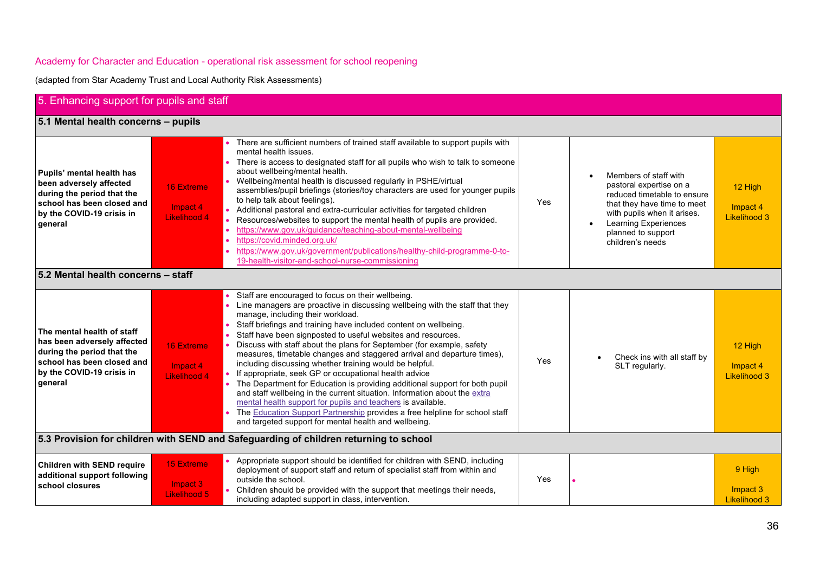| 5. Enhancing support for pupils and staff                                                                                                                     |                                                      |                                                                                                                                                                                                                                                                                                                                                                                                                                                                                                                                                                                                                                                                                                                                                                                                                                                                                                                                                       |     |                                                                                                                                                                                                                        |                                            |
|---------------------------------------------------------------------------------------------------------------------------------------------------------------|------------------------------------------------------|-------------------------------------------------------------------------------------------------------------------------------------------------------------------------------------------------------------------------------------------------------------------------------------------------------------------------------------------------------------------------------------------------------------------------------------------------------------------------------------------------------------------------------------------------------------------------------------------------------------------------------------------------------------------------------------------------------------------------------------------------------------------------------------------------------------------------------------------------------------------------------------------------------------------------------------------------------|-----|------------------------------------------------------------------------------------------------------------------------------------------------------------------------------------------------------------------------|--------------------------------------------|
| 5.1 Mental health concerns - pupils                                                                                                                           |                                                      |                                                                                                                                                                                                                                                                                                                                                                                                                                                                                                                                                                                                                                                                                                                                                                                                                                                                                                                                                       |     |                                                                                                                                                                                                                        |                                            |
| Pupils' mental health has<br>been adversely affected<br>during the period that the<br>school has been closed and<br>by the COVID-19 crisis in<br>qeneral      | <b>16 Extreme</b><br>Impact 4<br><b>Likelihood 4</b> | There are sufficient numbers of trained staff available to support pupils with<br>mental health issues.<br>There is access to designated staff for all pupils who wish to talk to someone<br>about wellbeing/mental health.<br>Wellbeing/mental health is discussed regularly in PSHE/virtual<br>assemblies/pupil briefings (stories/toy characters are used for younger pupils<br>to help talk about feelings).<br>Additional pastoral and extra-curricular activities for targeted children<br>Resources/websites to support the mental health of pupils are provided.<br>https://www.gov.uk/guidance/teaching-about-mental-wellbeing<br>https://covid.minded.org.uk/<br>https://www.gov.uk/government/publications/healthy-child-programme-0-to-<br>19-health-visitor-and-school-nurse-commissioning                                                                                                                                               | Yes | Members of staff with<br>pastoral expertise on a<br>reduced timetable to ensure<br>that they have time to meet<br>with pupils when it arises.<br><b>Learning Experiences</b><br>planned to support<br>children's needs | 12 High<br>Impact 4<br><b>Likelihood 3</b> |
| 5.2 Mental health concerns - staff                                                                                                                            |                                                      |                                                                                                                                                                                                                                                                                                                                                                                                                                                                                                                                                                                                                                                                                                                                                                                                                                                                                                                                                       |     |                                                                                                                                                                                                                        |                                            |
| The mental health of staff<br>has been adversely affected<br>during the period that the<br>school has been closed and<br>by the COVID-19 crisis in<br>general | <b>16 Extreme</b><br>Impact 4<br>Likelihood 4        | Staff are encouraged to focus on their wellbeing.<br>Line managers are proactive in discussing wellbeing with the staff that they<br>manage, including their workload.<br>Staff briefings and training have included content on wellbeing.<br>Staff have been signposted to useful websites and resources.<br>Discuss with staff about the plans for September (for example, safety<br>measures, timetable changes and staggered arrival and departure times),<br>including discussing whether training would be helpful.<br>If appropriate, seek GP or occupational health advice<br>The Department for Education is providing additional support for both pupil<br>and staff wellbeing in the current situation. Information about the extra<br>mental health support for pupils and teachers is available.<br>The Education Support Partnership provides a free helpline for school staff<br>and targeted support for mental health and wellbeing. | Yes | Check ins with all staff by<br>SLT regularly.                                                                                                                                                                          | 12 High<br>Impact 4<br>Likelihood 3        |
|                                                                                                                                                               |                                                      | 5.3 Provision for children with SEND and Safeguarding of children returning to school                                                                                                                                                                                                                                                                                                                                                                                                                                                                                                                                                                                                                                                                                                                                                                                                                                                                 |     |                                                                                                                                                                                                                        |                                            |
| <b>Children with SEND require</b><br>additional support following<br>school closures                                                                          | <b>15 Extreme</b><br>Impact 3<br>Likelihood 5        | Appropriate support should be identified for children with SEND, including<br>deployment of support staff and return of specialist staff from within and<br>outside the school.<br>Children should be provided with the support that meetings their needs,<br>including adapted support in class, intervention.                                                                                                                                                                                                                                                                                                                                                                                                                                                                                                                                                                                                                                       | Yes |                                                                                                                                                                                                                        | 9 High<br>Impact 3<br><b>Likelihood 3</b>  |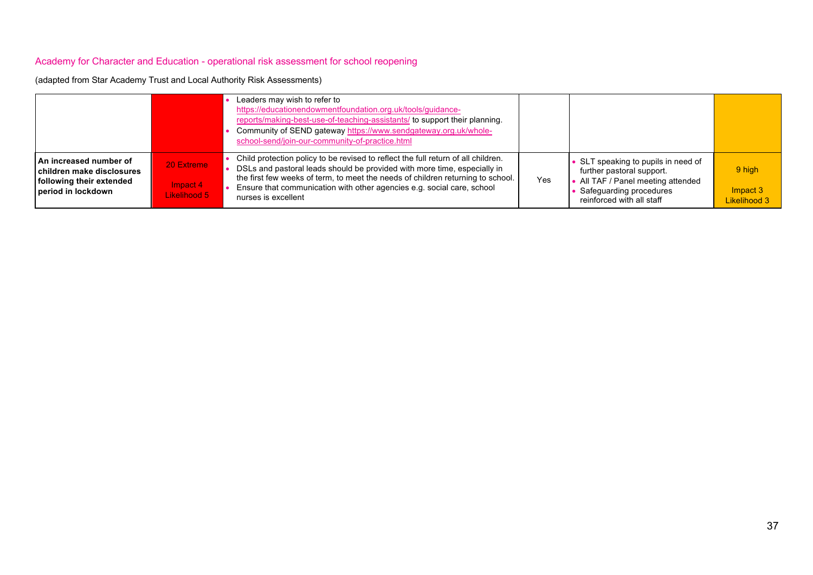| (adapted from Star Academy Trust and Local Authority Risk Assessments) |  |  |
|------------------------------------------------------------------------|--|--|
|                                                                        |  |  |

|                                                                                                                |                                        | Leaders may wish to refer to<br>https://educationendowmentfoundation.org.uk/tools/guidance-<br>reports/making-best-use-of-teaching-assistants/ to support their planning.<br>Community of SEND gateway https://www.sendgateway.org.uk/whole-<br>school-send/join-our-community-of-practice.html                                                   |     |                                                                                                                                                              |                                    |
|----------------------------------------------------------------------------------------------------------------|----------------------------------------|---------------------------------------------------------------------------------------------------------------------------------------------------------------------------------------------------------------------------------------------------------------------------------------------------------------------------------------------------|-----|--------------------------------------------------------------------------------------------------------------------------------------------------------------|------------------------------------|
| <b>An increased number of</b><br>children make disclosures<br>following their extended<br>l period in lockdown | 20 Extreme<br>Impact 4<br>Likelihood 5 | Child protection policy to be revised to reflect the full return of all children.<br>DSLs and pastoral leads should be provided with more time, especially in<br>the first few weeks of term, to meet the needs of children returning to school.<br>Ensure that communication with other agencies e.g. social care, school<br>nurses is excellent | Yes | • SLT speaking to pupils in need of<br>further pastoral support.<br>All TAF / Panel meeting attended<br>Safequarding procedures<br>reinforced with all staff | 9 high<br>Impact 3<br>Likelihood 3 |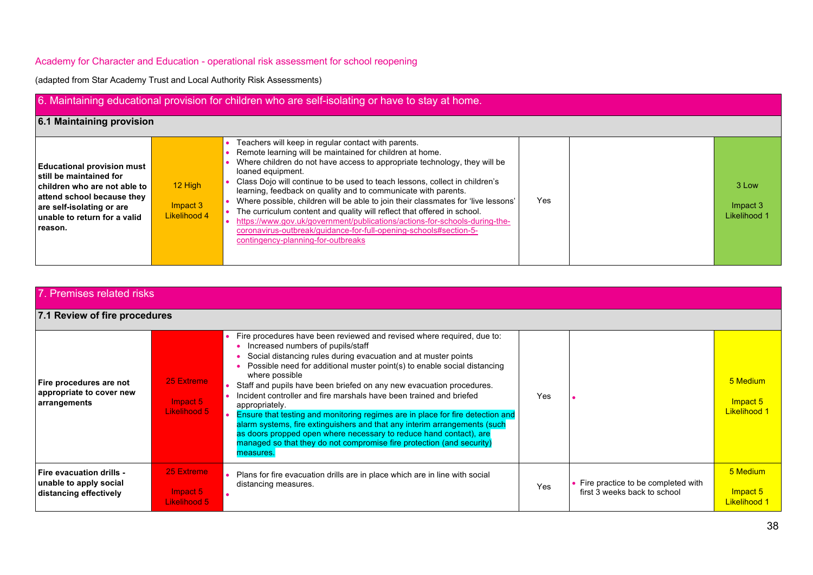| 6. Maintaining educational provision for children who are self-isolating or have to stay at home.                                                                                                  |                                       |                                                                                                                                                                                                                                                                                                                                                                                                                                                                                                                                                                                                                                                                                                                             |     |  |                                   |  |
|----------------------------------------------------------------------------------------------------------------------------------------------------------------------------------------------------|---------------------------------------|-----------------------------------------------------------------------------------------------------------------------------------------------------------------------------------------------------------------------------------------------------------------------------------------------------------------------------------------------------------------------------------------------------------------------------------------------------------------------------------------------------------------------------------------------------------------------------------------------------------------------------------------------------------------------------------------------------------------------------|-----|--|-----------------------------------|--|
| 6.1 Maintaining provision                                                                                                                                                                          |                                       |                                                                                                                                                                                                                                                                                                                                                                                                                                                                                                                                                                                                                                                                                                                             |     |  |                                   |  |
| <b>Educational provision must</b><br>still be maintained for<br>children who are not able to<br>attend school because they<br>are self-isolating or are<br>unable to return for a valid<br>reason. | $12$ High<br>Impact 3<br>Likelihood 4 | Teachers will keep in regular contact with parents.<br>Remote learning will be maintained for children at home.<br>Where children do not have access to appropriate technology, they will be<br>loaned equipment.<br>Class Dojo will continue to be used to teach lessons, collect in children's<br>learning, feedback on quality and to communicate with parents.<br>Where possible, children will be able to join their classmates for 'live lessons'<br>The curriculum content and quality will reflect that offered in school.<br>https://www.gov.uk/government/publications/actions-for-schools-during-the-<br>coronavirus-outbreak/quidance-for-full-opening-schools#section-5-<br>contingency-planning-for-outbreaks | Yes |  | 3 Low<br>Impact 3<br>Likelihood 1 |  |

| 7. Premises related risks                                                           |                                        |                                                                                                                                                                                                                                                                                                                                                                                                                                                                                                                                                                                                                                                                                                                                                                           |     |                                                                    |                                             |  |
|-------------------------------------------------------------------------------------|----------------------------------------|---------------------------------------------------------------------------------------------------------------------------------------------------------------------------------------------------------------------------------------------------------------------------------------------------------------------------------------------------------------------------------------------------------------------------------------------------------------------------------------------------------------------------------------------------------------------------------------------------------------------------------------------------------------------------------------------------------------------------------------------------------------------------|-----|--------------------------------------------------------------------|---------------------------------------------|--|
| 7.1 Review of fire procedures                                                       |                                        |                                                                                                                                                                                                                                                                                                                                                                                                                                                                                                                                                                                                                                                                                                                                                                           |     |                                                                    |                                             |  |
| Fire procedures are not<br>appropriate to cover new<br>arrangements                 | 25 Extreme<br>Impact 5<br>Likelihood 5 | • Fire procedures have been reviewed and revised where required, due to:<br>Increased numbers of pupils/staff<br>Social distancing rules during evacuation and at muster points<br>Possible need for additional muster point(s) to enable social distancing<br>where possible<br>Staff and pupils have been briefed on any new evacuation procedures.<br>Incident controller and fire marshals have been trained and briefed<br>appropriately.<br>Ensure that testing and monitoring regimes are in place for fire detection and<br>alarm systems, fire extinguishers and that any interim arrangements (such<br>as doors propped open where necessary to reduce hand contact), are<br>managed so that they do not compromise fire protection (and security)<br>measures. | Yes |                                                                    | 5 Medium<br>Impact 5<br><b>Likelihood 1</b> |  |
| <b>Fire evacuation drills -</b><br>unable to apply social<br>distancing effectively | 25 Extreme<br>Impact 5<br>Likelihood 5 | Plans for fire evacuation drills are in place which are in line with social<br>distancing measures.                                                                                                                                                                                                                                                                                                                                                                                                                                                                                                                                                                                                                                                                       | Yes | Fire practice to be completed with<br>first 3 weeks back to school | 5 Medium<br>Impact 5<br><b>Likelihood 1</b> |  |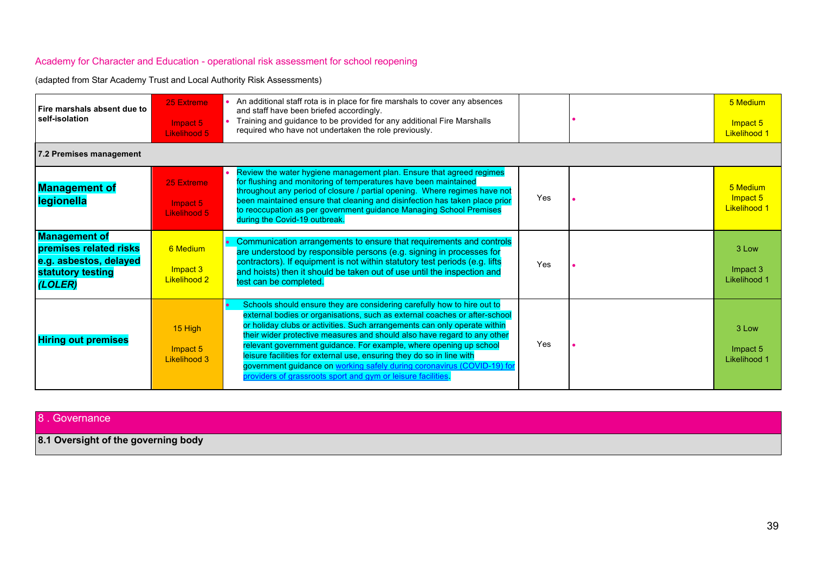(adapted from Star Academy Trust and Local Authority Risk Assessments)

| Fire marshals absent due to<br>self-isolation                                                            | 25 Extreme<br>Impact 5<br><b>Likelihood 5</b> | An additional staff rota is in place for fire marshals to cover any absences<br>and staff have been briefed accordingly.<br>Training and guidance to be provided for any additional Fire Marshalls<br>required who have not undertaken the role previously.                                                                                                                                                                                                                                                                                                                                              |     | 5 Medium<br>Impact 5<br><b>Likelihood 1</b> |
|----------------------------------------------------------------------------------------------------------|-----------------------------------------------|----------------------------------------------------------------------------------------------------------------------------------------------------------------------------------------------------------------------------------------------------------------------------------------------------------------------------------------------------------------------------------------------------------------------------------------------------------------------------------------------------------------------------------------------------------------------------------------------------------|-----|---------------------------------------------|
| 7.2 Premises management                                                                                  |                                               |                                                                                                                                                                                                                                                                                                                                                                                                                                                                                                                                                                                                          |     |                                             |
| <b>Management of</b><br>legionella                                                                       | 25 Extreme<br>Impact 5<br>Likelihood 5        | Review the water hygiene management plan. Ensure that agreed regimes<br>for flushing and monitoring of temperatures have been maintained<br>throughout any period of closure / partial opening. Where regimes have not<br>been maintained ensure that cleaning and disinfection has taken place prior<br>to reoccupation as per government guidance Managing School Premises<br>during the Covid-19 outbreak.                                                                                                                                                                                            | Yes | 5 Medium<br>Impact 5<br><b>Likelihood 1</b> |
| <b>Management of</b><br>premises related risks<br>e.g. asbestos, delayed<br>statutory testing<br>(LOLER) | 6 Medium<br>Impact 3<br>Likelihood 2          | • Communication arrangements to ensure that requirements and controls<br>are understood by responsible persons (e.g. signing in processes for<br>contractors). If equipment is not within statutory test periods (e.g. lifts<br>and hoists) then it should be taken out of use until the inspection and<br>test can be completed.                                                                                                                                                                                                                                                                        | Yes | 3 Low<br>Impact 3<br>Likelihood 1           |
| <b>Hiring out premises</b>                                                                               | 15 High<br>Impact 5<br>Likelihood 3           | Schools should ensure they are considering carefully how to hire out to<br>external bodies or organisations, such as external coaches or after-school<br>or holiday clubs or activities. Such arrangements can only operate within<br>their wider protective measures and should also have regard to any other<br>relevant government guidance. For example, where opening up school<br>leisure facilities for external use, ensuring they do so in line with<br>government guidance on working safely during coronavirus (COVID-19) for<br>providers of grassroots sport and gym or leisure facilities. | Yes | 3 Low<br>Impact 5<br>Likelihood 1           |

#### 8 . Governance

**8.1 Oversight of the governing body**